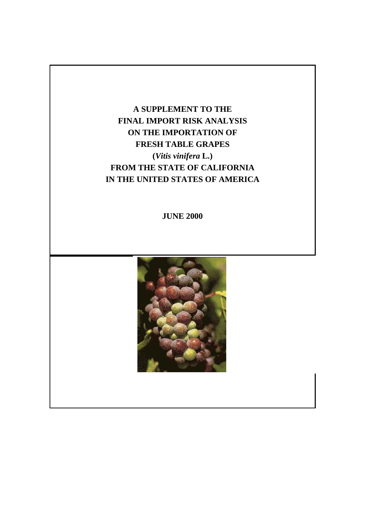# **A SUPPLEMENT TO THE FINAL IMPORT RISK ANALYSIS ON THE IMPORTATION OF FRESH TABLE GRAPES (***Vitis vinifera* **L.) FROM THE STATE OF CALIFORNIA IN THE UNITED STATES OF AMERICA**

**JUNE 2000** 

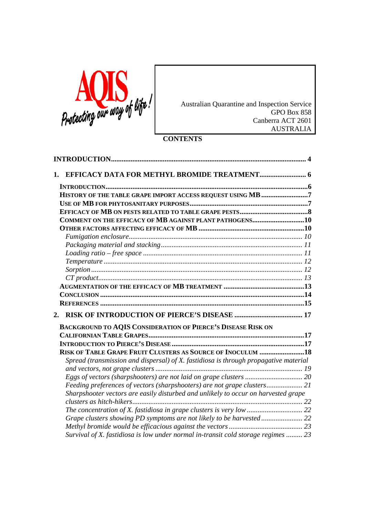

Australian Quarantine and Inspection Service GPO Box 858 Canberra ACT 2601 AUSTRALIA

# **CONTENTS**

| 1.                                                                                   |  |
|--------------------------------------------------------------------------------------|--|
|                                                                                      |  |
| HISTORY OF THE TABLE GRAPE IMPORT ACCESS REQUEST USING MB 7                          |  |
|                                                                                      |  |
|                                                                                      |  |
| COMMENT ON THE EFFICACY OF MB AGAINST PLANT PATHOGENS10                              |  |
|                                                                                      |  |
|                                                                                      |  |
|                                                                                      |  |
|                                                                                      |  |
|                                                                                      |  |
|                                                                                      |  |
|                                                                                      |  |
|                                                                                      |  |
|                                                                                      |  |
|                                                                                      |  |
| 2.                                                                                   |  |
| <b>BACKGROUND TO AQIS CONSIDERATION OF PIERCE'S DISEASE RISK ON</b>                  |  |
|                                                                                      |  |
|                                                                                      |  |
| RISK OF TABLE GRAPE FRUIT CLUSTERS AS SOURCE OF INOCULUM 18                          |  |
| Spread (transmission and dispersal) of X. fastidiosa is through propagative material |  |
|                                                                                      |  |
|                                                                                      |  |
|                                                                                      |  |
| Sharpshooter vectors are easily disturbed and unlikely to occur on harvested grape   |  |
|                                                                                      |  |
|                                                                                      |  |
|                                                                                      |  |
| Survival of X. fastidiosa is low under normal in-transit cold storage regimes  23    |  |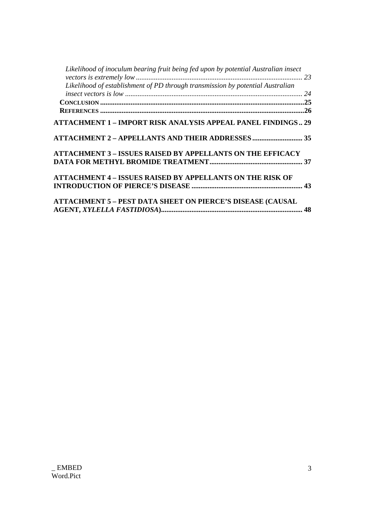| Likelihood of inoculum bearing fruit being fed upon by potential Australian insect |  |
|------------------------------------------------------------------------------------|--|
| Likelihood of establishment of PD through transmission by potential Australian     |  |
|                                                                                    |  |
|                                                                                    |  |
|                                                                                    |  |
| <b>ATTACHMENT 1 - IMPORT RISK ANALYSIS APPEAL PANEL FINDINGS 29</b>                |  |
| <b>ATTACHMENT 2 - APPELLANTS AND THEIR ADDRESSES 35</b>                            |  |
| <b>ATTACHMENT 3 - ISSUES RAISED BY APPELLANTS ON THE EFFICACY</b>                  |  |
|                                                                                    |  |
| <b>ATTACHMENT 4 – ISSUES RAISED BY APPELLANTS ON THE RISK OF</b>                   |  |
|                                                                                    |  |
| <b>ATTACHMENT 5 - PEST DATA SHEET ON PIERCE'S DISEASE (CAUSAL</b>                  |  |
|                                                                                    |  |
|                                                                                    |  |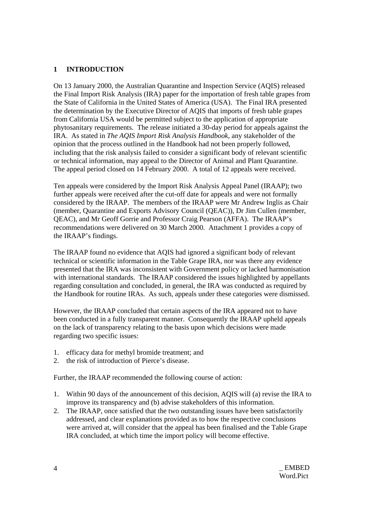# **1 INTRODUCTION**

On 13 January 2000, the Australian Quarantine and Inspection Service (AQIS) released the Final Import Risk Analysis (IRA) paper for the importation of fresh table grapes from the State of California in the United States of America (USA). The Final IRA presented the determination by the Executive Director of AQIS that imports of fresh table grapes from California USA would be permitted subject to the application of appropriate phytosanitary requirements. The release initiated a 30-day period for appeals against the IRA. As stated in *The AQIS Import Risk Analysis Handbook*, any stakeholder of the opinion that the process outlined in the Handbook had not been properly followed, including that the risk analysis failed to consider a significant body of relevant scientific or technical information, may appeal to the Director of Animal and Plant Quarantine. The appeal period closed on 14 February 2000. A total of 12 appeals were received.

Ten appeals were considered by the Import Risk Analysis Appeal Panel (IRAAP); two further appeals were received after the cut-off date for appeals and were not formally considered by the IRAAP. The members of the IRAAP were Mr Andrew Inglis as Chair (member, Quarantine and Exports Advisory Council (QEAC)), Dr Jim Cullen (member, QEAC), and Mr Geoff Gorrie and Professor Craig Pearson (AFFA). The IRAAP's recommendations were delivered on 30 March 2000. Attachment 1 provides a copy of the IRAAP's findings.

The IRAAP found no evidence that AQIS had ignored a significant body of relevant technical or scientific information in the Table Grape IRA, nor was there any evidence presented that the IRA was inconsistent with Government policy or lacked harmonisation with international standards. The IRAAP considered the issues highlighted by appellants regarding consultation and concluded, in general, the IRA was conducted as required by the Handbook for routine IRAs. As such, appeals under these categories were dismissed.

However, the IRAAP concluded that certain aspects of the IRA appeared not to have been conducted in a fully transparent manner. Consequently the IRAAP upheld appeals on the lack of transparency relating to the basis upon which decisions were made regarding two specific issues:

- 1. efficacy data for methyl bromide treatment; and
- 2. the risk of introduction of Pierce's disease.

Further, the IRAAP recommended the following course of action:

- 1. Within 90 days of the announcement of this decision, AQIS will (a) revise the IRA to improve its transparency and (b) advise stakeholders of this information.
- 2. The IRAAP, once satisfied that the two outstanding issues have been satisfactorily addressed, and clear explanations provided as to how the respective conclusions were arrived at, will consider that the appeal has been finalised and the Table Grape IRA concluded, at which time the import policy will become effective.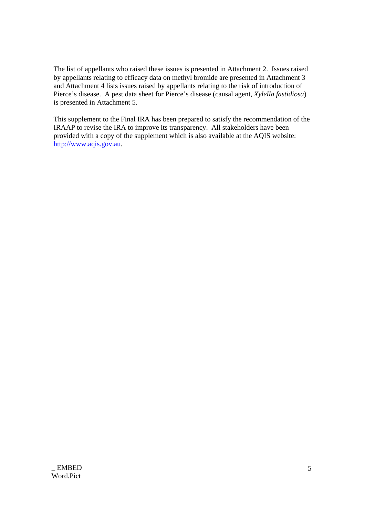The list of appellants who raised these issues is presented in Attachment 2. Issues raised by appellants relating to efficacy data on methyl bromide are presented in Attachment 3 and Attachment 4 lists issues raised by appellants relating to the risk of introduction of Pierce's disease. A pest data sheet for Pierce's disease (causal agent, *Xylella fastidiosa*) is presented in Attachment 5.

This supplement to the Final IRA has been prepared to satisfy the recommendation of the IRAAP to revise the IRA to improve its transparency. All stakeholders have been provided with a copy of the supplement which is also available at the AQIS website: http://www.aqis.gov.au.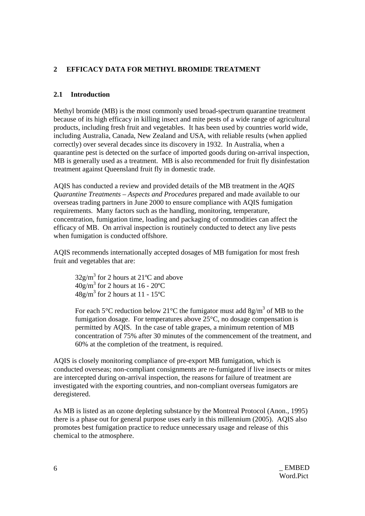# **2 EFFICACY DATA FOR METHYL BROMIDE TREATMENT**

# **2.1 Introduction**

Methyl bromide (MB) is the most commonly used broad-spectrum quarantine treatment because of its high efficacy in killing insect and mite pests of a wide range of agricultural products, including fresh fruit and vegetables. It has been used by countries world wide, including Australia, Canada, New Zealand and USA, with reliable results (when applied correctly) over several decades since its discovery in 1932. In Australia, when a quarantine pest is detected on the surface of imported goods during on-arrival inspection, MB is generally used as a treatment. MB is also recommended for fruit fly disinfestation treatment against Queensland fruit fly in domestic trade.

AQIS has conducted a review and provided details of the MB treatment in the *AQIS Quarantine Treatments – Aspects and Procedures* prepared and made available to our overseas trading partners in June 2000 to ensure compliance with AQIS fumigation requirements. Many factors such as the handling, monitoring, temperature, concentration, fumigation time, loading and packaging of commodities can affect the efficacy of MB. On arrival inspection is routinely conducted to detect any live pests when fumigation is conducted offshore.

AQIS recommends internationally accepted dosages of MB fumigation for most fresh fruit and vegetables that are:

 $32g/m<sup>3</sup>$  for 2 hours at 21<sup>o</sup>C and above  $40g/m^3$  for 2 hours at 16 - 20 °C  $48g/m^3$  for 2 hours at 11 - 15°C

For each 5°C reduction below 21°C the fumigator must add 8g/m<sup>3</sup> of MB to the fumigation dosage. For temperatures above  $25^{\circ}$ C, no dosage compensation is permitted by AQIS. In the case of table grapes, a minimum retention of MB concentration of 75% after 30 minutes of the commencement of the treatment, and 60% at the completion of the treatment, is required.

AQIS is closely monitoring compliance of pre-export MB fumigation, which is conducted overseas; non-compliant consignments are re-fumigated if live insects or mites are intercepted during on-arrival inspection, the reasons for failure of treatment are investigated with the exporting countries, and non-compliant overseas fumigators are deregistered.

As MB is listed as an ozone depleting substance by the Montreal Protocol (Anon., 1995) there is a phase out for general purpose uses early in this millennium (2005). AQIS also promotes best fumigation practice to reduce unnecessary usage and release of this chemical to the atmosphere.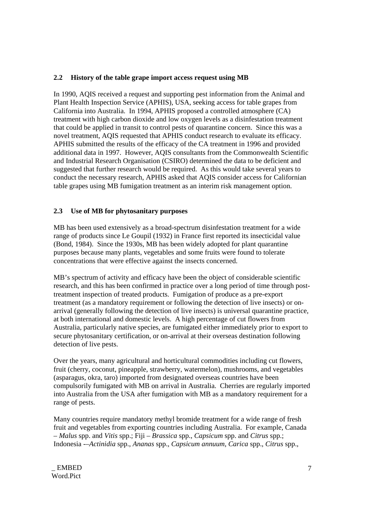# **2.2 History of the table grape import access request using MB**

In 1990, AQIS received a request and supporting pest information from the Animal and Plant Health Inspection Service (APHIS), USA, seeking access for table grapes from California into Australia. In 1994, APHIS proposed a controlled atmosphere (CA) treatment with high carbon dioxide and low oxygen levels as a disinfestation treatment that could be applied in transit to control pests of quarantine concern. Since this was a novel treatment, AQIS requested that APHIS conduct research to evaluate its efficacy. APHIS submitted the results of the efficacy of the CA treatment in 1996 and provided additional data in 1997. However, AQIS consultants from the Commonwealth Scientific and Industrial Research Organisation (CSIRO) determined the data to be deficient and suggested that further research would be required. As this would take several years to conduct the necessary research, APHIS asked that AQIS consider access for Californian table grapes using MB fumigation treatment as an interim risk management option.

# **2.3 Use of MB for phytosanitary purposes**

MB has been used extensively as a broad-spectrum disinfestation treatment for a wide range of products since Le Goupil (1932) in France first reported its insecticidal value (Bond, 1984). Since the 1930s, MB has been widely adopted for plant quarantine purposes because many plants, vegetables and some fruits were found to tolerate concentrations that were effective against the insects concerned.

MB's spectrum of activity and efficacy have been the object of considerable scientific research, and this has been confirmed in practice over a long period of time through posttreatment inspection of treated products. Fumigation of produce as a pre-export treatment (as a mandatory requirement or following the detection of live insects) or onarrival (generally following the detection of live insects) is universal quarantine practice, at both international and domestic levels. A high percentage of cut flowers from Australia, particularly native species, are fumigated either immediately prior to export to secure phytosanitary certification, or on-arrival at their overseas destination following detection of live pests.

Over the years, many agricultural and horticultural commodities including cut flowers, fruit (cherry, coconut, pineapple, strawberry, watermelon), mushrooms, and vegetables (asparagus, okra, taro) imported from designated overseas countries have been compulsorily fumigated with MB on arrival in Australia. Cherries are regularly imported into Australia from the USA after fumigation with MB as a mandatory requirement for a range of pests.

Many countries require mandatory methyl bromide treatment for a wide range of fresh fruit and vegetables from exporting countries including Australia. For example, Canada – *Malus* spp. and *Vitis* spp.; Fiji – *Brassica* spp., *Capsicum* spp. and *Citrus* spp.; Indonesia -–*Actinidia* spp., *Ananas* spp., *Capsicum annuum*, *Carica* spp., *Citrus* spp.,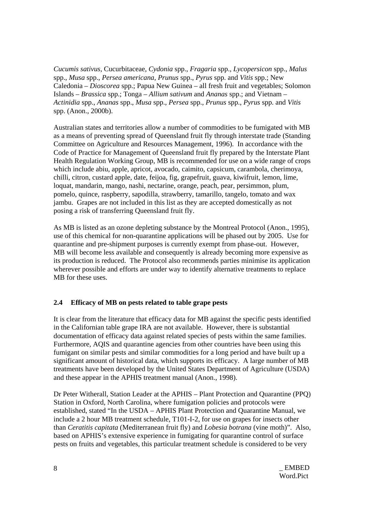*Cucumis sativus*, Cucurbitaceae, *Cydonia* spp., *Fragaria* spp., *Lycopersicon* spp., *Malus* spp., *Musa* spp., *Persea americana*, *Prunus* spp., *Pyrus* spp. and *Vitis* spp.; New Caledonia – *Dioscorea* spp.; Papua New Guinea – all fresh fruit and vegetables; Solomon Islands – *Brassica* spp.; Tonga – *Allium sativum* and *Ananas* spp.; and Vietnam – *Actinidia* spp., *Ananas* spp., *Musa* spp., *Persea* spp., *Prunus* spp., *Pyrus* spp. and *Vitis* spp. (Anon., 2000b).

Australian states and territories allow a number of commodities to be fumigated with MB as a means of preventing spread of Queensland fruit fly through interstate trade (Standing Committee on Agriculture and Resources Management, 1996). In accordance with the Code of Practice for Management of Queensland fruit fly prepared by the Interstate Plant Health Regulation Working Group, MB is recommended for use on a wide range of crops which include abiu, apple, apricot, avocado, caimito, capsicum, carambola, cherimoya, chilli, citron, custard apple, date, feijoa, fig, grapefruit, guava, kiwifruit, lemon, lime, loquat, mandarin, mango, nashi, nectarine, orange, peach, pear, persimmon, plum, pomelo, quince, raspberry, sapodilla, strawberry, tamarillo, tangelo, tomato and wax jambu. Grapes are not included in this list as they are accepted domestically as not posing a risk of transferring Queensland fruit fly.

As MB is listed as an ozone depleting substance by the Montreal Protocol (Anon., 1995), use of this chemical for non-quarantine applications will be phased out by 2005. Use for quarantine and pre-shipment purposes is currently exempt from phase-out. However, MB will become less available and consequently is already becoming more expensive as its production is reduced. The Protocol also recommends parties minimise its application wherever possible and efforts are under way to identify alternative treatments to replace MB for these uses.

## **2.4 Efficacy of MB on pests related to table grape pests**

It is clear from the literature that efficacy data for MB against the specific pests identified in the Californian table grape IRA are not available. However, there is substantial documentation of efficacy data against related species of pests within the same families. Furthermore, AQIS and quarantine agencies from other countries have been using this fumigant on similar pests and similar commodities for a long period and have built up a significant amount of historical data, which supports its efficacy. A large number of MB treatments have been developed by the United States Department of Agriculture (USDA) and these appear in the APHIS treatment manual (Anon., 1998).

Dr Peter Witherall, Station Leader at the APHIS – Plant Protection and Quarantine (PPQ) Station in Oxford, North Carolina, where fumigation policies and protocols were established, stated "In the USDA – APHIS Plant Protection and Quarantine Manual, we include a 2 hour MB treatment schedule, T101-I-2, for use on grapes for insects other than *Ceratitis capitata* (Mediterranean fruit fly) and *Lobesia botrana* (vine moth)". Also, based on APHIS's extensive experience in fumigating for quarantine control of surface pests on fruits and vegetables, this particular treatment schedule is considered to be very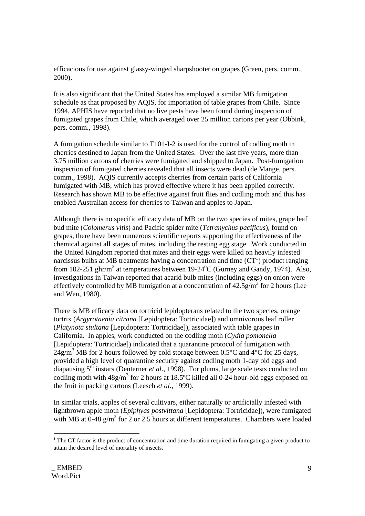efficacious for use against glassy-winged sharpshooter on grapes (Green, pers. comm., 2000).

It is also significant that the United States has employed a similar MB fumigation schedule as that proposed by AQIS, for importation of table grapes from Chile. Since 1994, APHIS have reported that no live pests have been found during inspection of fumigated grapes from Chile, which averaged over 25 million cartons per year (Obbink, pers. comm., 1998).

A fumigation schedule similar to T101-I-2 is used for the control of codling moth in cherries destined to Japan from the United States. Over the last five years, more than 3.75 million cartons of cherries were fumigated and shipped to Japan. Post-fumigation inspection of fumigated cherries revealed that all insects were dead (de Mange, pers. comm., 1998). AQIS currently accepts cherries from certain parts of California fumigated with MB, which has proved effective where it has been applied correctly. Research has shown MB to be effective against fruit flies and codling moth and this has enabled Australian access for cherries to Taiwan and apples to Japan.

Although there is no specific efficacy data of MB on the two species of mites, grape leaf bud mite (*Colomerus vitis*) and Pacific spider mite (*Tetranychus pacificus*), found on grapes, there have been numerous scientific reports supporting the effectiveness of the chemical against all stages of mites, including the resting egg stage. Work conducted in the United Kingdom reported that mites and their eggs were killed on heavily infested narcissus bulbs at MB treatments having a concentration and time  $(CT<sup>1</sup>)$  product ranging from 102-251 ghr/m<sup>3</sup> at temperatures between 19-24<sup>o</sup>C (Gurney and Gandy, 1974). Also, investigations in Taiwan reported that acarid bulb mites (including eggs) on onion were effectively controlled by MB fumigation at a concentration of  $42.5$  g/m<sup>3</sup> for 2 hours (Lee and Wen, 1980).

There is MB efficacy data on tortricid lepidopterans related to the two species, orange tortrix (*Argyrotaenia citrana* [Lepidoptera: Tortricidae]) and omnivorous leaf roller (*Platynota stultana* [Lepidoptera: Tortricidae]), associated with table grapes in California. In apples, work conducted on the codling moth (*Cydia pomonella* [Lepidoptera: Tortricidae]) indicated that a quarantine protocol of fumigation with  $24g/m^3$  MB for 2 hours followed by cold storage between 0.5°C and 4°C for 25 days, provided a high level of quarantine security against codling moth 1-day old eggs and diapausing  $5<sup>th</sup>$  instars (Denterner *et al.*, 1998). For plums, large scale tests conducted on codling moth with  $48g/m<sup>3</sup>$  for 2 hours at 18.5°C killed all 0-24 hour-old eggs exposed on the fruit in packing cartons (Leesch *et al*., 1999).

In similar trials, apples of several cultivars, either naturally or artificially infested with lightbrown apple moth (*Epiphyas postvittana* [Lepidoptera: Tortricidae]), were fumigated with MB at  $0-48$  g/m<sup>3</sup> for 2 or 2.5 hours at different temperatures. Chambers were loaded

 <sup>1</sup> The CT factor is the product of concentration and time duration required in fumigating a given product to attain the desired level of mortality of insects.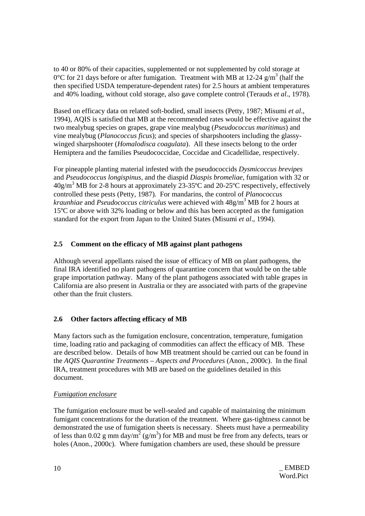to 40 or 80% of their capacities, supplemented or not supplemented by cold storage at 0°C for 21 days before or after fumigation. Treatment with MB at 12-24  $g/m<sup>3</sup>$  (half the then specified USDA temperature-dependent rates) for 2.5 hours at ambient temperatures and 40% loading, without cold storage, also gave complete control (Terauds *et al*., 1978).

Based on efficacy data on related soft-bodied, small insects (Petty, 1987; Misumi *et al*., 1994), AQIS is satisfied that MB at the recommended rates would be effective against the two mealybug species on grapes, grape vine mealybug (*Pseudococcus maritimus*) and vine mealybug (*Planococcus ficus*); and species of sharpshooters including the glassywinged sharpshooter (*Homalodisca coagulata*). All these insects belong to the order Hemiptera and the families Pseudococcidae, Coccidae and Cicadellidae, respectively.

For pineapple planting material infested with the pseudococcids *Dysmicoccus brevipes* and *Pseudococcus longispinus*, and the diaspid *Diaspis bromeliae*, fumigation with 32 or  $40g/m<sup>3</sup>$  MB for 2-8 hours at approximately 23-35°C and 20-25°C respectively, effectively controlled these pests (Petty, 1987). For mandarins, the control of *Planococcus kraunhiae* and *Pseudococcus citriculus* were achieved with 48g/m3 MB for 2 hours at 15ºC or above with 32% loading or below and this has been accepted as the fumigation standard for the export from Japan to the United States (Misumi *et al*., 1994).

# **2.5 Comment on the efficacy of MB against plant pathogens**

Although several appellants raised the issue of efficacy of MB on plant pathogens, the final IRA identified no plant pathogens of quarantine concern that would be on the table grape importation pathway. Many of the plant pathogens associated with table grapes in California are also present in Australia or they are associated with parts of the grapevine other than the fruit clusters.

# **2.6 Other factors affecting efficacy of MB**

Many factors such as the fumigation enclosure, concentration, temperature, fumigation time, loading ratio and packaging of commodities can affect the efficacy of MB. These are described below. Details of how MB treatment should be carried out can be found in the *AQIS Quarantine Treatments – Aspects and Procedures* (Anon., 2000c). In the final IRA, treatment procedures with MB are based on the guidelines detailed in this document.

## *Fumigation enclosure*

The fumigation enclosure must be well-sealed and capable of maintaining the minimum fumigant concentrations for the duration of the treatment. Where gas-tightness cannot be demonstrated the use of fumigation sheets is necessary. Sheets must have a permeability of less than 0.02 g mm day/ $m^2$  (g/m<sup>3</sup>) for MB and must be free from any defects, tears or holes (Anon., 2000c). Where fumigation chambers are used, these should be pressure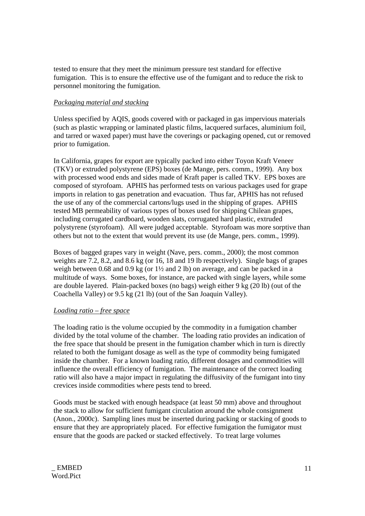tested to ensure that they meet the minimum pressure test standard for effective fumigation. This is to ensure the effective use of the fumigant and to reduce the risk to personnel monitoring the fumigation.

# *Packaging material and stacking*

Unless specified by AQIS, goods covered with or packaged in gas impervious materials (such as plastic wrapping or laminated plastic films, lacquered surfaces, aluminium foil, and tarred or waxed paper) must have the coverings or packaging opened, cut or removed prior to fumigation.

In California, grapes for export are typically packed into either Toyon Kraft Veneer (TKV) or extruded polystyrene (EPS) boxes (de Mange, pers. comm., 1999). Any box with processed wood ends and sides made of Kraft paper is called TKV. EPS boxes are composed of styrofoam. APHIS has performed tests on various packages used for grape imports in relation to gas penetration and evacuation. Thus far, APHIS has not refused the use of any of the commercial cartons/lugs used in the shipping of grapes. APHIS tested MB permeability of various types of boxes used for shipping Chilean grapes, including corrugated cardboard, wooden slats, corrugated hard plastic, extruded polystyrene (styrofoam). All were judged acceptable. Styrofoam was more sorptive than others but not to the extent that would prevent its use (de Mange, pers. comm., 1999).

Boxes of bagged grapes vary in weight (Nave, pers. comm., 2000); the most common weights are 7.2, 8.2, and 8.6 kg (or 16, 18 and 19 lb respectively). Single bags of grapes weigh between 0.68 and 0.9 kg (or 1½ and 2 lb) on average, and can be packed in a multitude of ways. Some boxes, for instance, are packed with single layers, while some are double layered. Plain-packed boxes (no bags) weigh either 9 kg (20 lb) (out of the Coachella Valley) or 9.5 kg (21 lb) (out of the San Joaquin Valley).

## *Loading ratio – free space*

The loading ratio is the volume occupied by the commodity in a fumigation chamber divided by the total volume of the chamber. The loading ratio provides an indication of the free space that should be present in the fumigation chamber which in turn is directly related to both the fumigant dosage as well as the type of commodity being fumigated inside the chamber. For a known loading ratio, different dosages and commodities will influence the overall efficiency of fumigation. The maintenance of the correct loading ratio will also have a major impact in regulating the diffusivity of the fumigant into tiny crevices inside commodities where pests tend to breed.

Goods must be stacked with enough headspace (at least 50 mm) above and throughout the stack to allow for sufficient fumigant circulation around the whole consignment (Anon., 2000c). Sampling lines must be inserted during packing or stacking of goods to ensure that they are appropriately placed. For effective fumigation the fumigator must ensure that the goods are packed or stacked effectively. To treat large volumes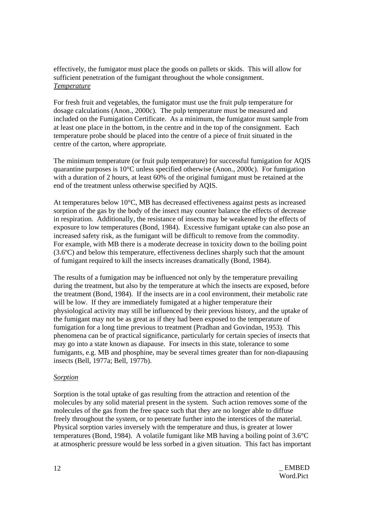effectively, the fumigator must place the goods on pallets or skids. This will allow for sufficient penetration of the fumigant throughout the whole consignment. *Temperature*

For fresh fruit and vegetables, the fumigator must use the fruit pulp temperature for dosage calculations (Anon., 2000c). The pulp temperature must be measured and included on the Fumigation Certificate. As a minimum, the fumigator must sample from at least one place in the bottom, in the centre and in the top of the consignment. Each temperature probe should be placed into the centre of a piece of fruit situated in the centre of the carton, where appropriate.

The minimum temperature (or fruit pulp temperature) for successful fumigation for AQIS quarantine purposes is 10°C unless specified otherwise (Anon., 2000c). For fumigation with a duration of 2 hours, at least 60% of the original fumigant must be retained at the end of the treatment unless otherwise specified by AQIS.

At temperatures below 10°C, MB has decreased effectiveness against pests as increased sorption of the gas by the body of the insect may counter balance the effects of decrease in respiration. Additionally, the resistance of insects may be weakened by the effects of exposure to low temperatures (Bond, 1984). Excessive fumigant uptake can also pose an increased safety risk, as the fumigant will be difficult to remove from the commodity. For example, with MB there is a moderate decrease in toxicity down to the boiling point (3.6ºC) and below this temperature, effectiveness declines sharply such that the amount of fumigant required to kill the insects increases dramatically (Bond, 1984).

The results of a fumigation may be influenced not only by the temperature prevailing during the treatment, but also by the temperature at which the insects are exposed, before the treatment (Bond, 1984). If the insects are in a cool environment, their metabolic rate will be low. If they are immediately fumigated at a higher temperature their physiological activity may still be influenced by their previous history, and the uptake of the fumigant may not be as great as if they had been exposed to the temperature of fumigation for a long time previous to treatment (Pradhan and Govindan, 1953). This phenomena can be of practical significance, particularly for certain species of insects that may go into a state known as diapause. For insects in this state, tolerance to some fumigants, e.g. MB and phosphine, may be several times greater than for non-diapausing insects (Bell, 1977a; Bell, 1977b).

#### *Sorption*

Sorption is the total uptake of gas resulting from the attraction and retention of the molecules by any solid material present in the system. Such action removes some of the molecules of the gas from the free space such that they are no longer able to diffuse freely throughout the system, or to penetrate further into the interstices of the material. Physical sorption varies inversely with the temperature and thus, is greater at lower temperatures (Bond, 1984). A volatile fumigant like MB having a boiling point of 3.6°C at atmospheric pressure would be less sorbed in a given situation. This fact has important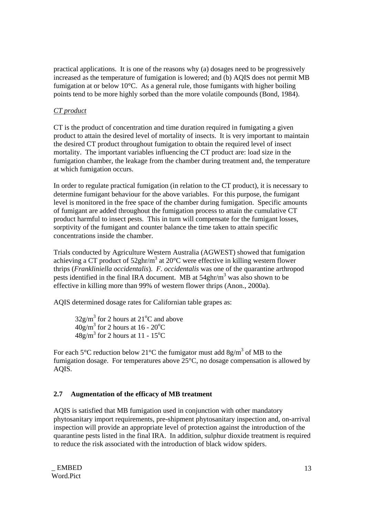practical applications. It is one of the reasons why (a) dosages need to be progressively increased as the temperature of fumigation is lowered; and (b) AQIS does not permit MB fumigation at or below 10°C. As a general rule, those fumigants with higher boiling points tend to be more highly sorbed than the more volatile compounds (Bond, 1984).

# *CT product*

CT is the product of concentration and time duration required in fumigating a given product to attain the desired level of mortality of insects. It is very important to maintain the desired CT product throughout fumigation to obtain the required level of insect mortality. The important variables influencing the CT product are: load size in the fumigation chamber, the leakage from the chamber during treatment and, the temperature at which fumigation occurs.

In order to regulate practical fumigation (in relation to the CT product), it is necessary to determine fumigant behaviour for the above variables. For this purpose, the fumigant level is monitored in the free space of the chamber during fumigation. Specific amounts of fumigant are added throughout the fumigation process to attain the cumulative CT product harmful to insect pests. This in turn will compensate for the fumigant losses, sorptivity of the fumigant and counter balance the time taken to attain specific concentrations inside the chamber.

Trials conducted by Agriculture Western Australia (AGWEST) showed that fumigation achieving a CT product of  $52ghr/m^3$  at  $20^{\circ}$ C were effective in killing western flower thrips (*Frankliniella occidentalis*). *F. occidentalis* was one of the quarantine arthropod pests identified in the final IRA document. MB at  $54ghr/m<sup>3</sup>$  was also shown to be effective in killing more than 99% of western flower thrips (Anon., 2000a).

AQIS determined dosage rates for Californian table grapes as:

 $32g/m<sup>3</sup>$  for 2 hours at  $21^{\circ}$ C and above  $40g/m^3$  for 2 hours at 16 - 20<sup>o</sup>C  $48g/m^3$  for 2 hours at 11 - 15<sup>o</sup>C

For each 5°C reduction below 21°C the fumigator must add 8g/m<sup>3</sup> of MB to the fumigation dosage. For temperatures above 25°C, no dosage compensation is allowed by AQIS.

# **2.7 Augmentation of the efficacy of MB treatment**

AQIS is satisfied that MB fumigation used in conjunction with other mandatory phytosanitary import requirements, pre-shipment phytosanitary inspection and, on-arrival inspection will provide an appropriate level of protection against the introduction of the quarantine pests listed in the final IRA. In addition, sulphur dioxide treatment is required to reduce the risk associated with the introduction of black widow spiders.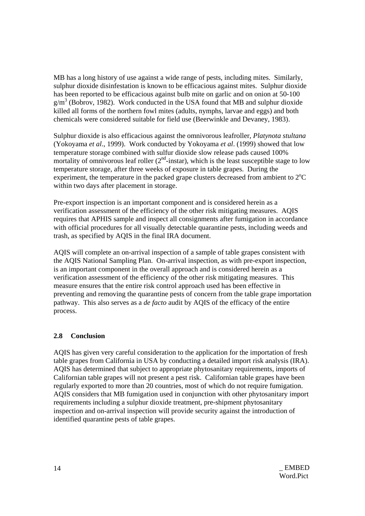MB has a long history of use against a wide range of pests, including mites. Similarly, sulphur dioxide disinfestation is known to be efficacious against mites. Sulphur dioxide has been reported to be efficacious against bulb mite on garlic and on onion at 50-100  $g/m<sup>3</sup>$  (Bobrov, 1982). Work conducted in the USA found that MB and sulphur dioxide killed all forms of the northern fowl mites (adults, nymphs, larvae and eggs) and both chemicals were considered suitable for field use (Beerwinkle and Devaney, 1983).

Sulphur dioxide is also efficacious against the omnivorous leafroller, *Platynota stultana*  (Yokoyama *et al*., 1999). Work conducted by Yokoyama *et al*. (1999) showed that low temperature storage combined with sulfur dioxide slow release pads caused 100% mortality of omnivorous leaf roller  $(2<sup>nd</sup> - instar)$ , which is the least susceptible stage to low temperature storage, after three weeks of exposure in table grapes. During the experiment, the temperature in the packed grape clusters decreased from ambient to  $2^{\circ}C$ within two days after placement in storage.

Pre-export inspection is an important component and is considered herein as a verification assessment of the efficiency of the other risk mitigating measures. AQIS requires that APHIS sample and inspect all consignments after fumigation in accordance with official procedures for all visually detectable quarantine pests, including weeds and trash, as specified by AQIS in the final IRA document.

AQIS will complete an on-arrival inspection of a sample of table grapes consistent with the AQIS National Sampling Plan. On-arrival inspection, as with pre-export inspection, is an important component in the overall approach and is considered herein as a verification assessment of the efficiency of the other risk mitigating measures. This measure ensures that the entire risk control approach used has been effective in preventing and removing the quarantine pests of concern from the table grape importation pathway. This also serves as a *de facto* audit by AQIS of the efficacy of the entire process.

## **2.8 Conclusion**

AQIS has given very careful consideration to the application for the importation of fresh table grapes from California in USA by conducting a detailed import risk analysis (IRA). AQIS has determined that subject to appropriate phytosanitary requirements, imports of Californian table grapes will not present a pest risk. Californian table grapes have been regularly exported to more than 20 countries, most of which do not require fumigation. AQIS considers that MB fumigation used in conjunction with other phytosanitary import requirements including a sulphur dioxide treatment, pre-shipment phytosanitary inspection and on-arrival inspection will provide security against the introduction of identified quarantine pests of table grapes.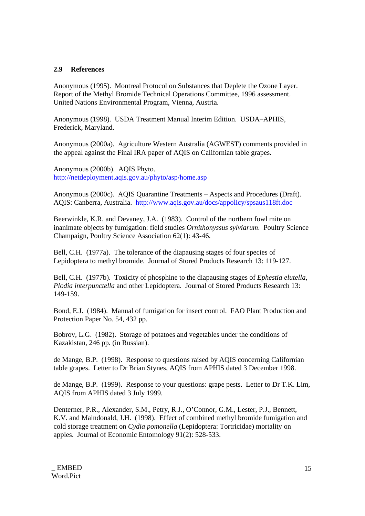## **2.9 References**

Anonymous (1995). Montreal Protocol on Substances that Deplete the Ozone Layer. Report of the Methyl Bromide Technical Operations Committee, 1996 assessment. United Nations Environmental Program, Vienna, Austria.

Anonymous (1998). USDA Treatment Manual Interim Edition. USDA–APHIS, Frederick, Maryland.

Anonymous (2000a). Agriculture Western Australia (AGWEST) comments provided in the appeal against the Final IRA paper of AQIS on Californian table grapes.

Anonymous (2000b). AQIS Phyto. http://netdeployment.aqis.gov.au/phyto/asp/home.asp

Anonymous (2000c). AQIS Quarantine Treatments – Aspects and Procedures (Draft). AQIS: Canberra, Australia. http://www.aqis.gov.au/docs/appolicy/spsaus118ft.doc

Beerwinkle, K.R. and Devaney, J.A. (1983). Control of the northern fowl mite on inanimate objects by fumigation: field studies *Ornithonyssus sylviarum*. Poultry Science Champaign, Poultry Science Association 62(1): 43-46.

Bell, C.H. (1977a). The tolerance of the diapausing stages of four species of Lepidoptera to methyl bromide. Journal of Stored Products Research 13: 119-127.

Bell, C.H. (1977b). Toxicity of phosphine to the diapausing stages of *Ephestia elutella*, *Plodia interpunctella* and other Lepidoptera. Journal of Stored Products Research 13: 149-159.

Bond, E.J. (1984). Manual of fumigation for insect control. FAO Plant Production and Protection Paper No. 54, 432 pp.

Bobrov, L.G. (1982). Storage of potatoes and vegetables under the conditions of Kazakistan, 246 pp. (in Russian).

de Mange, B.P. (1998). Response to questions raised by AQIS concerning Californian table grapes. Letter to Dr Brian Stynes, AQIS from APHIS dated 3 December 1998.

de Mange, B.P. (1999). Response to your questions: grape pests. Letter to Dr T.K. Lim, AQIS from APHIS dated 3 July 1999.

Denterner, P.R., Alexander, S.M., Petry, R.J., O'Connor, G.M., Lester, P.J., Bennett, K.V. and Maindonald, J.H. (1998). Effect of combined methyl bromide fumigation and cold storage treatment on *Cydia pomonella* (Lepidoptera: Tortricidae) mortality on apples. Journal of Economic Entomology 91(2): 528-533.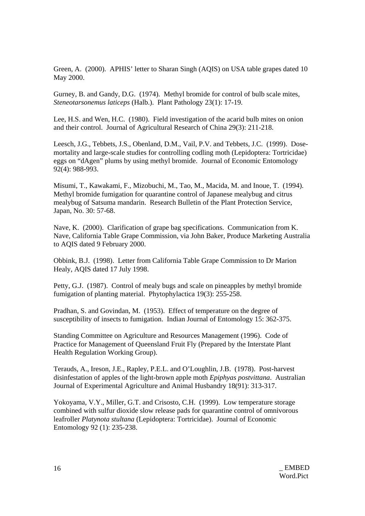Green, A. (2000). APHIS' letter to Sharan Singh (AQIS) on USA table grapes dated 10 May 2000.

Gurney, B. and Gandy, D.G. (1974). Methyl bromide for control of bulb scale mites, *Steneotarsonemus laticeps* (Halb.). Plant Pathology 23(1): 17-19.

Lee, H.S. and Wen, H.C. (1980). Field investigation of the acarid bulb mites on onion and their control. Journal of Agricultural Research of China 29(3): 211-218.

Leesch, J.G., Tebbets, J.S., Obenland, D.M., Vail, P.V. and Tebbets, J.C. (1999). Dosemortality and large-scale studies for controlling codling moth (Lepidoptera: Tortricidae) eggs on "dAgen" plums by using methyl bromide. Journal of Economic Entomology 92(4): 988-993.

Misumi, T., Kawakami, F., Mizobuchi, M., Tao, M., Macida, M. and Inoue, T. (1994). Methyl bromide fumigation for quarantine control of Japanese mealybug and citrus mealybug of Satsuma mandarin. Research Bulletin of the Plant Protection Service, Japan, No. 30: 57-68.

Nave, K. (2000). Clarification of grape bag specifications. Communication from K. Nave, California Table Grape Commission, via John Baker, Produce Marketing Australia to AQIS dated 9 February 2000.

Obbink, B.J. (1998). Letter from California Table Grape Commission to Dr Marion Healy, AQIS dated 17 July 1998.

Petty, G.J. (1987). Control of mealy bugs and scale on pineapples by methyl bromide fumigation of planting material. Phytophylactica 19(3): 255-258.

Pradhan, S. and Govindan, M. (1953). Effect of temperature on the degree of susceptibility of insects to fumigation. Indian Journal of Entomology 15: 362-375.

Standing Committee on Agriculture and Resources Management (1996). Code of Practice for Management of Queensland Fruit Fly (Prepared by the Interstate Plant Health Regulation Working Group).

Terauds, A., Ireson, J.E., Rapley, P.E.L. and O'Loughlin, J.B. (1978). Post-harvest disinfestation of apples of the light-brown apple moth *Epiphyas postvittana*. Australian Journal of Experimental Agriculture and Animal Husbandry 18(91): 313-317.

Yokoyama, V.Y., Miller, G.T. and Crisosto, C.H. (1999). Low temperature storage combined with sulfur dioxide slow release pads for quarantine control of omnivorous leafroller *Platynota stultana* (Lepidoptera: Tortricidae). Journal of Economic Entomology 92 (1): 235-238.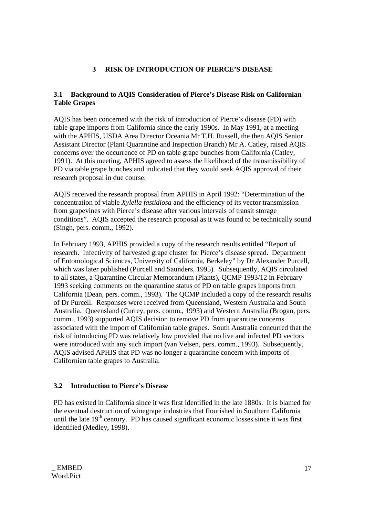# **3 RISK OF INTRODUCTION OF PIERCE'S DISEASE**

# **3.1 Background to AQIS Consideration of Pierce's Disease Risk on Californian Table Grapes**

AQIS has been concerned with the risk of introduction of Pierce's disease (PD) with table grape imports from California since the early 1990s. In May 1991, at a meeting with the APHIS, USDA Area Director Oceania Mr T.H. Russell, the then AQIS Senior Assistant Director (Plant Quarantine and Inspection Branch) Mr A. Catley, raised AQIS concerns over the occurrence of PD on table grape bunches from California (Catley, 1991). At this meeting, APHIS agreed to assess the likelihood of the transmissibility of PD via table grape bunches and indicated that they would seek AQIS approval of their research proposal in due course.

AQIS received the research proposal from APHIS in April 1992: "Determination of the concentration of viable *Xylella fastidiosa* and the efficiency of its vector transmission from grapevines with Pierce's disease after various intervals of transit storage conditions". AQIS accepted the research proposal as it was found to be technically sound (Singh, pers. comm., 1992).

In February 1993, APHIS provided a copy of the research results entitled "Report of research. Infectivity of harvested grape cluster for Pierce's disease spread. Department of Entomological Sciences, University of California, Berkeley" by Dr Alexander Purcell, which was later published (Purcell and Saunders, 1995). Subsequently, AQIS circulated to all states, a Quarantine Circular Memorandum (Plants), QCMP 1993/12 in February 1993 seeking comments on the quarantine status of PD on table grapes imports from California (Dean, pers. comm., 1993). The QCMP included a copy of the research results of Dr Purcell. Responses were received from Queensland, Western Australia and South Australia. Queensland (Currey, pers. comm., 1993) and Western Australia (Brogan, pers. comm., 1993) supported AQIS decision to remove PD from quarantine concerns associated with the import of Californian table grapes. South Australia concurred that the risk of introducing PD was relatively low provided that no live and infected PD vectors were introduced with any such import (van Velsen, pers. comm., 1993). Subsequently, AQIS advised APHIS that PD was no longer a quarantine concern with imports of Californian table grapes to Australia.

# **3.2 Introduction to Pierce's Disease**

PD has existed in California since it was first identified in the late 1880s. It is blamed for the eventual destruction of winegrape industries that flourished in Southern California until the late  $19<sup>th</sup>$  century. PD has caused significant economic losses since it was first identified (Medley, 1998).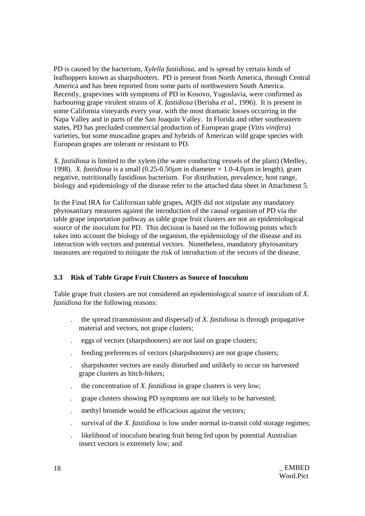PD is caused by the bacterium, *Xylella fastidiosa*, and is spread by certain kinds of leafhoppers known as sharpshooters. PD is present from North America, through Central America and has been reported from some parts of northwestern South America. Recently, grapevines with symptoms of PD in Kosovo, Yugoslavia, were confirmed as harbouring grape virulent strains of *X. fastidiosa* (Berisha *et al*., 1996). It is present in some California vineyards every year, with the most dramatic losses occurring in the Napa Valley and in parts of the San Joaquin Valley. In Florida and other southeastern states, PD has precluded commercial production of European grape (*Vitis vinifera*) varieties, but some muscadine grapes and hybrids of American wild grape species with European grapes are tolerant or resistant to PD.

*X. fastidiosa* is limited to the xylem (the water conducting vessels of the plant) (Medley, 1998). *X. fastidiosa* is a small  $(0.25{\text -}0.50\mu\text{m}$  in diameter  $\times 1.0{\text -}4.0\mu\text{m}$  in length), gram negative, nutritionally fastidious bacterium. For distribution, prevalence, host range, biology and epidemiology of the disease refer to the attached data sheet in Attachment 5.

In the Final IRA for Californian table grapes, AQIS did not stipulate any mandatory phytosanitary measures against the introduction of the causal organism of PD via the table grape importation pathway as table grape fruit clusters are not an epidemiological source of the inoculum for PD. This decision is based on the following points which takes into account the biology of the organism, the epidemiology of the disease and its interaction with vectors and potential vectors. Nonetheless, mandatory phytosanitary measures are required to mitigate the risk of introduction of the vectors of the disease.

## **3.3 Risk of Table Grape Fruit Clusters as Source of Inoculum**

Table grape fruit clusters are not considered an epidemiological source of inoculum of *X. fastidiosa* for the following reasons:

- . the spread (transmission and dispersal) of *X. fastidiosa* is through propagative material and vectors, not grape clusters;
- . eggs of vectors (sharpshooters) are not laid on grape clusters;
- . feeding preferences of vectors (sharpshooters) are not grape clusters;
- . sharpshooter vectors are easily disturbed and unlikely to occur on harvested grape clusters as hitch-hikers;
- . the concentration of *X. fastidiosa* in grape clusters is very low;
- . grape clusters showing PD symptoms are not likely to be harvested;
- methyl bromide would be efficacious against the vectors;
- . survival of the *X. fastidiosa* is low under normal in-transit cold storage regimes;
- . likelihood of inoculum bearing fruit being fed upon by potential Australian insect vectors is extremely low; and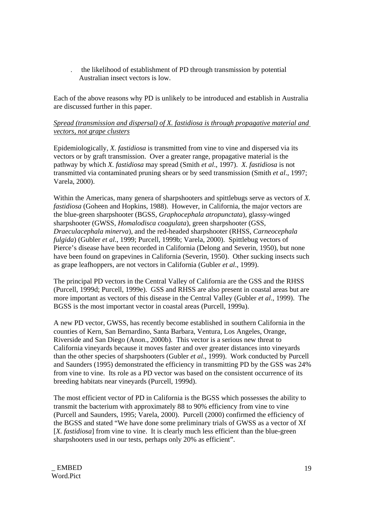. the likelihood of establishment of PD through transmission by potential Australian insect vectors is low.

Each of the above reasons why PD is unlikely to be introduced and establish in Australia are discussed further in this paper.

# *Spread (transmission and dispersal) of X. fastidiosa is through propagative material and vectors, not grape clusters*

Epidemiologically, *X. fastidiosa* is transmitted from vine to vine and dispersed via its vectors or by graft transmission. Over a greater range, propagative material is the pathway by which *X. fastidiosa* may spread (Smith *et al*., 1997). *X. fastidiosa* is not transmitted via contaminated pruning shears or by seed transmission (Smith *et al*., 1997; Varela, 2000).

Within the Americas, many genera of sharpshooters and spittlebugs serve as vectors of *X. fastidiosa* (Goheen and Hopkins, 1988). However, in California, the major vectors are the blue-green sharpshooter (BGSS, *Graphocephala atropunctata*), glassy-winged sharpshooter (GWSS, *Homalodisca coagulata*), green sharpshooter (GSS, *Draeculacephala minerva*), and the red-headed sharpshooter (RHSS, *Carneocephala fulgida*) (Gubler *et al*., 1999; Purcell, 1999b; Varela, 2000). Spittlebug vectors of Pierce's disease have been recorded in California (Delong and Severin, 1950), but none have been found on grapevines in California (Severin, 1950). Other sucking insects such as grape leafhoppers, are not vectors in California (Gubler *et al*., 1999).

The principal PD vectors in the Central Valley of California are the GSS and the RHSS (Purcell, 1999d; Purcell, 1999e). GSS and RHSS are also present in coastal areas but are more important as vectors of this disease in the Central Valley (Gubler *et al*., 1999). The BGSS is the most important vector in coastal areas (Purcell, 1999a).

A new PD vector, GWSS, has recently become established in southern California in the counties of Kern, San Bernardino, Santa Barbara, Ventura, Los Angeles, Orange, Riverside and San Diego (Anon., 2000b). This vector is a serious new threat to California vineyards because it moves faster and over greater distances into vineyards than the other species of sharpshooters (Gubler *et al*., 1999). Work conducted by Purcell and Saunders (1995) demonstrated the efficiency in transmitting PD by the GSS was 24% from vine to vine. Its role as a PD vector was based on the consistent occurrence of its breeding habitats near vineyards (Purcell, 1999d).

The most efficient vector of PD in California is the BGSS which possesses the ability to transmit the bacterium with approximately 88 to 90% efficiency from vine to vine (Purcell and Saunders, 1995; Varela, 2000). Purcell (2000) confirmed the efficiency of the BGSS and stated "We have done some preliminary trials of GWSS as a vector of Xf [*X. fastidiosa*] from vine to vine. It is clearly much less efficient than the blue-green sharpshooters used in our tests, perhaps only 20% as efficient".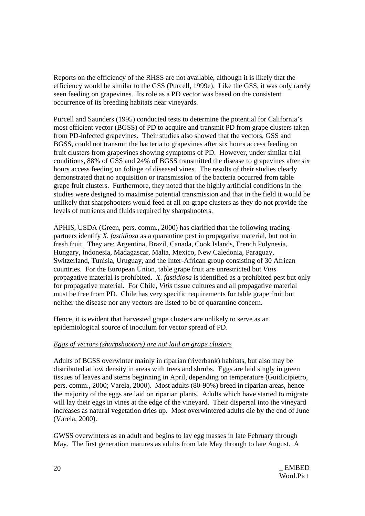Reports on the efficiency of the RHSS are not available, although it is likely that the efficiency would be similar to the GSS (Purcell, 1999e). Like the GSS, it was only rarely seen feeding on grapevines. Its role as a PD vector was based on the consistent occurrence of its breeding habitats near vineyards.

Purcell and Saunders (1995) conducted tests to determine the potential for California's most efficient vector (BGSS) of PD to acquire and transmit PD from grape clusters taken from PD-infected grapevines. Their studies also showed that the vectors, GSS and BGSS, could not transmit the bacteria to grapevines after six hours access feeding on fruit clusters from grapevines showing symptoms of PD. However, under similar trial conditions, 88% of GSS and 24% of BGSS transmitted the disease to grapevines after six hours access feeding on foliage of diseased vines. The results of their studies clearly demonstrated that no acquisition or transmission of the bacteria occurred from table grape fruit clusters. Furthermore, they noted that the highly artificial conditions in the studies were designed to maximise potential transmission and that in the field it would be unlikely that sharpshooters would feed at all on grape clusters as they do not provide the levels of nutrients and fluids required by sharpshooters.

APHIS, USDA (Green, pers. comm., 2000) has clarified that the following trading partners identify *X. fastidiosa* as a quarantine pest in propagative material, but not in fresh fruit. They are: Argentina, Brazil, Canada, Cook Islands, French Polynesia, Hungary, Indonesia, Madagascar, Malta, Mexico, New Caledonia, Paraguay, Switzerland, Tunisia, Uruguay, and the Inter-African group consisting of 30 African countries. For the European Union, table grape fruit are unrestricted but *Vitis* propagative material is prohibited. *X. fastidiosa* is identified as a prohibited pest but only for propagative material. For Chile, *Vitis* tissue cultures and all propagative material must be free from PD. Chile has very specific requirements for table grape fruit but neither the disease nor any vectors are listed to be of quarantine concern.

Hence, it is evident that harvested grape clusters are unlikely to serve as an epidemiological source of inoculum for vector spread of PD.

## *Eggs of vectors (sharpshooters) are not laid on grape clusters*

Adults of BGSS overwinter mainly in riparian (riverbank) habitats, but also may be distributed at low density in areas with trees and shrubs. Eggs are laid singly in green tissues of leaves and stems beginning in April, depending on temperature (Guidicipietro, pers. comm., 2000; Varela, 2000). Most adults (80-90%) breed in riparian areas, hence the majority of the eggs are laid on riparian plants. Adults which have started to migrate will lay their eggs in vines at the edge of the vineyard. Their dispersal into the vineyard increases as natural vegetation dries up. Most overwintered adults die by the end of June (Varela, 2000).

GWSS overwinters as an adult and begins to lay egg masses in late February through May. The first generation matures as adults from late May through to late August. A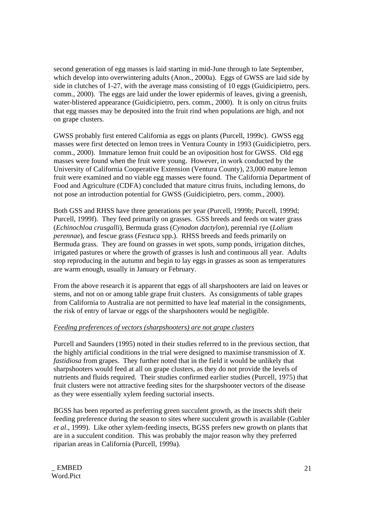second generation of egg masses is laid starting in mid-June through to late September, which develop into overwintering adults (Anon., 2000a). Eggs of GWSS are laid side by side in clutches of 1-27, with the average mass consisting of 10 eggs (Guidicipietro, pers. comm., 2000). The eggs are laid under the lower epidermis of leaves, giving a greenish, water-blistered appearance (Guidicipietro, pers. comm., 2000). It is only on citrus fruits that egg masses may be deposited into the fruit rind when populations are high, and not on grape clusters.

GWSS probably first entered California as eggs on plants (Purcell, 1999c). GWSS egg masses were first detected on lemon trees in Ventura County in 1993 (Guidicipietro, pers. comm., 2000). Immature lemon fruit could be an oviposition host for GWSS. Old egg masses were found when the fruit were young. However, in work conducted by the University of California Cooperative Extension (Ventura County), 23,000 mature lemon fruit were examined and no viable egg masses were found. The California Department of Food and Agriculture (CDFA) concluded that mature citrus fruits, including lemons, do not pose an introduction potential for GWSS (Guidicipietro, pers. comm., 2000).

Both GSS and RHSS have three generations per year (Purcell, 1999b; Purcell, 1999d; Purcell, 1999f). They feed primarily on grasses. GSS breeds and feeds on water grass (*Echinochloa crusgalli*), Bermuda grass (*Cynodon dactylon*), perennial rye (*Lolium perennae*), and fescue grass (*Festuca* spp.). RHSS breeds and feeds primarily on Bermuda grass. They are found on grasses in wet spots, sump ponds, irrigation ditches, irrigated pastures or where the growth of grasses is lush and continuous all year. Adults stop reproducing in the autumn and begin to lay eggs in grasses as soon as temperatures are warm enough, usually in January or February.

From the above research it is apparent that eggs of all sharpshooters are laid on leaves or stems, and not on or among table grape fruit clusters. As consignments of table grapes from California to Australia are not permitted to have leaf material in the consignments, the risk of entry of larvae or eggs of the sharpshooters would be negligible.

## *Feeding preferences of vectors (sharpshooters) are not grape clusters*

Purcell and Saunders (1995) noted in their studies referred to in the previous section, that the highly artificial conditions in the trial were designed to maximise transmission of *X. fastidiosa* from grapes. They further noted that in the field it would be unlikely that sharpshooters would feed at all on grape clusters, as they do not provide the levels of nutrients and fluids required. Their studies confirmed earlier studies (Purcell, 1975) that fruit clusters were not attractive feeding sites for the sharpshooter vectors of the disease as they were essentially xylem feeding suctorial insects.

BGSS has been reported as preferring green succulent growth, as the insects shift their feeding preference during the season to sites where succulent growth is available (Gubler *et al*., 1999). Like other xylem-feeding insects, BGSS prefers new growth on plants that are in a succulent condition. This was probably the major reason why they preferred riparian areas in California (Purcell, 1999a).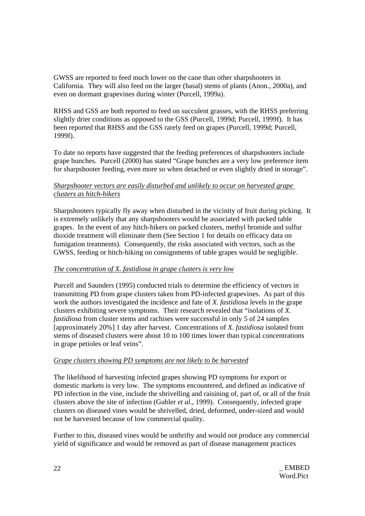GWSS are reported to feed much lower on the cane than other sharpshooters in California. They will also feed on the larger (basal) stems of plants (Anon., 2000a), and even on dormant grapevines during winter (Purcell, 1999a).

RHSS and GSS are both reported to feed on succulent grasses, with the RHSS preferring slightly drier conditions as opposed to the GSS (Purcell, 1999d; Purcell, 1999f). It has been reported that RHSS and the GSS rarely feed on grapes (Purcell, 1999d; Purcell, 1999f).

To date no reports have suggested that the feeding preferences of sharpshooters include grape bunches. Purcell (2000) has stated "Grape bunches are a very low preference item for sharpshooter feeding, even more so when detached or even slightly dried in storage".

# *Sharpshooter vectors are easily disturbed and unlikely to occur on harvested grape clusters as hitch-hikers*

Sharpshooters typically fly away when disturbed in the vicinity of fruit during picking. It is extremely unlikely that any sharpshooters would be associated with packed table grapes. In the event of any hitch-hikers on packed clusters, methyl bromide and sulfur dioxide treatment will eliminate them (See Section 1 for details on efficacy data on fumigation treatments). Consequently, the risks associated with vectors, such as the GWSS, feeding or hitch-hiking on consignments of table grapes would be negligible.

# *The concentration of X. fastidiosa in grape clusters is very low*

Purcell and Saunders (1995) conducted trials to determine the efficiency of vectors in transmitting PD from grape clusters taken from PD-infected grapevines. As part of this work the authors investigated the incidence and fate of *X. fastidiosa* levels in the grape clusters exhibiting severe symptoms. Their research revealed that "isolations of *X. fastidiosa* from cluster stems and rachises were successful in only 5 of 24 samples [approximately 20%] 1 day after harvest. Concentrations of *X. fastidiosa* isolated from stems of diseased clusters were about 10 to 100 times lower than typical concentrations in grape petioles or leaf veins".

## *Grape clusters showing PD symptoms are not likely to be harvested*

The likelihood of harvesting infected grapes showing PD symptoms for export or domestic markets is very low. The symptoms encountered, and defined as indicative of PD infection in the vine, include the shrivelling and raisining of, part of, or all of the fruit clusters above the site of infection (Gubler *et al*., 1999). Consequently, infected grape clusters on diseased vines would be shrivelled, dried, deformed, under-sized and would not be harvested because of low commercial quality.

Further to this, diseased vines would be unthrifty and would not produce any commercial yield of significance and would be removed as part of disease management practices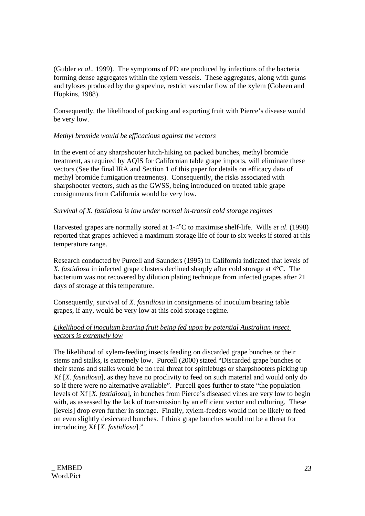(Gubler *et al*., 1999). The symptoms of PD are produced by infections of the bacteria forming dense aggregates within the xylem vessels. These aggregates, along with gums and tyloses produced by the grapevine, restrict vascular flow of the xylem (Goheen and Hopkins, 1988).

Consequently, the likelihood of packing and exporting fruit with Pierce's disease would be very low.

# *Methyl bromide would be efficacious against the vectors*

In the event of any sharpshooter hitch-hiking on packed bunches, methyl bromide treatment, as required by AQIS for Californian table grape imports, will eliminate these vectors (See the final IRA and Section 1 of this paper for details on efficacy data of methyl bromide fumigation treatments). Consequently, the risks associated with sharpshooter vectors, such as the GWSS, being introduced on treated table grape consignments from California would be very low.

# *Survival of X. fastidiosa is low under normal in-transit cold storage regimes*

Harvested grapes are normally stored at 1-4<sup>o</sup>C to maximise shelf-life. Wills *et al.* (1998) reported that grapes achieved a maximum storage life of four to six weeks if stored at this temperature range.

Research conducted by Purcell and Saunders (1995) in California indicated that levels of *X. fastidiosa* in infected grape clusters declined sharply after cold storage at 4°C. The bacterium was not recovered by dilution plating technique from infected grapes after 21 days of storage at this temperature.

Consequently, survival of *X. fastidiosa* in consignments of inoculum bearing table grapes, if any, would be very low at this cold storage regime.

# *Likelihood of inoculum bearing fruit being fed upon by potential Australian insect vectors is extremely low*

The likelihood of xylem-feeding insects feeding on discarded grape bunches or their stems and stalks, is extremely low. Purcell (2000) stated "Discarded grape bunches or their stems and stalks would be no real threat for spittlebugs or sharpshooters picking up Xf [*X. fastidiosa*], as they have no proclivity to feed on such material and would only do so if there were no alternative available". Purcell goes further to state "the population levels of Xf [*X. fastidiosa*], in bunches from Pierce's diseased vines are very low to begin with, as assessed by the lack of transmission by an efficient vector and culturing. These [levels] drop even further in storage. Finally, xylem-feeders would not be likely to feed on even slightly desiccated bunches. I think grape bunches would not be a threat for introducing Xf [*X. fastidiosa*]."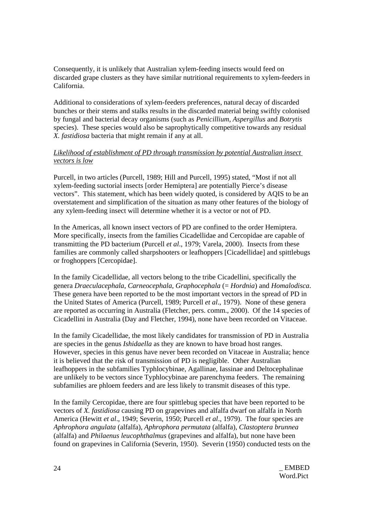Consequently, it is unlikely that Australian xylem-feeding insects would feed on discarded grape clusters as they have similar nutritional requirements to xylem-feeders in California.

Additional to considerations of xylem-feeders preferences, natural decay of discarded bunches or their stems and stalks results in the discarded material being swiftly colonised by fungal and bacterial decay organisms (such as *Penicillium*, *Aspergillus* and *Botrytis* species). These species would also be saprophytically competitive towards any residual *X. fastidiosa* bacteria that might remain if any at all.

# *Likelihood of establishment of PD through transmission by potential Australian insect vectors is low*

Purcell, in two articles (Purcell, 1989; Hill and Purcell, 1995) stated, "Most if not all xylem-feeding suctorial insects [order Hemiptera] are potentially Pierce's disease vectors". This statement, which has been widely quoted, is considered by AQIS to be an overstatement and simplification of the situation as many other features of the biology of any xylem-feeding insect will determine whether it is a vector or not of PD.

In the Americas, all known insect vectors of PD are confined to the order Hemiptera. More specifically, insects from the families Cicadellidae and Cercopidae are capable of transmitting the PD bacterium (Purcell *et al*., 1979; Varela, 2000). Insects from these families are commonly called sharpshooters or leafhoppers [Cicadellidae] and spittlebugs or froghoppers [Cercopidae].

In the family Cicadellidae, all vectors belong to the tribe Cicadellini, specifically the genera *Draeculacephala*, *Carneocephala*, *Graphocephala* (= *Hordnia*) and *Homalodisca*. These genera have been reported to be the most important vectors in the spread of PD in the United States of America (Purcell, 1989; Purcell *et al*., 1979). None of these genera are reported as occurring in Australia (Fletcher, pers. comm., 2000). Of the 14 species of Cicadellini in Australia (Day and Fletcher, 1994), none have been recorded on Vitaceae.

In the family Cicadellidae, the most likely candidates for transmission of PD in Australia are species in the genus *Ishidaella* as they are known to have broad host ranges. However, species in this genus have never been recorded on Vitaceae in Australia; hence it is believed that the risk of transmission of PD is negligible. Other Australian leafhoppers in the subfamilies Typhlocybinae, Agallinae, Iassinae and Deltocephalinae are unlikely to be vectors since Typhlocybinae are parenchyma feeders. The remaining subfamilies are phloem feeders and are less likely to transmit diseases of this type.

In the family Cercopidae, there are four spittlebug species that have been reported to be vectors of *X. fastidiosa* causing PD on grapevines and alfalfa dwarf on alfalfa in North America (Hewitt *et al*., 1949; Severin, 1950; Purcell *et al*., 1979). The four species are *Aphrophora angulata* (alfalfa), *Aphrophora permutata* (alfalfa), *Clastoptera brunnea* (alfalfa) and *Philaenus leucophthalmus* (grapevines and alfalfa), but none have been found on grapevines in California (Severin, 1950). Severin (1950) conducted tests on the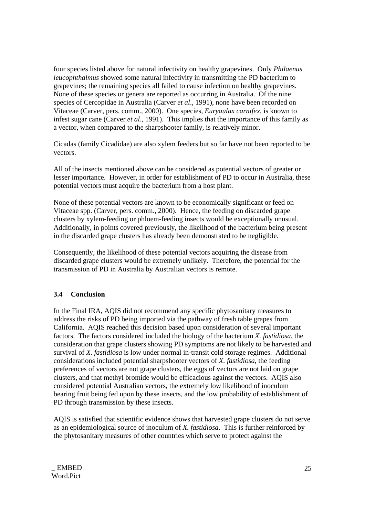four species listed above for natural infectivity on healthy grapevines. Only *Philaenus leucophthalmus* showed some natural infectivity in transmitting the PD bacterium to grapevines; the remaining species all failed to cause infection on healthy grapevines. None of these species or genera are reported as occurring in Australia. Of the nine species of Cercopidae in Australia (Carver *et al*., 1991), none have been recorded on Vitaceae (Carver, pers. comm., 2000). One species, *Euryaulax carnifex*, is known to infest sugar cane (Carver *et al*., 1991). This implies that the importance of this family as a vector, when compared to the sharpshooter family, is relatively minor.

Cicadas (family Cicadidae) are also xylem feeders but so far have not been reported to be vectors.

All of the insects mentioned above can be considered as potential vectors of greater or lesser importance. However, in order for establishment of PD to occur in Australia, these potential vectors must acquire the bacterium from a host plant.

None of these potential vectors are known to be economically significant or feed on Vitaceae spp. (Carver, pers. comm., 2000). Hence, the feeding on discarded grape clusters by xylem-feeding or phloem-feeding insects would be exceptionally unusual. Additionally, in points covered previously, the likelihood of the bacterium being present in the discarded grape clusters has already been demonstrated to be negligible.

Consequently, the likelihood of these potential vectors acquiring the disease from discarded grape clusters would be extremely unlikely. Therefore, the potential for the transmission of PD in Australia by Australian vectors is remote.

## **3.4 Conclusion**

In the Final IRA, AQIS did not recommend any specific phytosanitary measures to address the risks of PD being imported via the pathway of fresh table grapes from California. AQIS reached this decision based upon consideration of several important factors. The factors considered included the biology of the bacterium *X. fastidiosa*, the consideration that grape clusters showing PD symptoms are not likely to be harvested and survival of *X. fastidiosa* is low under normal in-transit cold storage regimes. Additional considerations included potential sharpshooter vectors of *X. fastidiosa*, the feeding preferences of vectors are not grape clusters, the eggs of vectors are not laid on grape clusters, and that methyl bromide would be efficacious against the vectors. AQIS also considered potential Australian vectors, the extremely low likelihood of inoculum bearing fruit being fed upon by these insects, and the low probability of establishment of PD through transmission by these insects.

AQIS is satisfied that scientific evidence shows that harvested grape clusters do not serve as an epidemiological source of inoculum of *X. fastidiosa*. This is further reinforced by the phytosanitary measures of other countries which serve to protect against the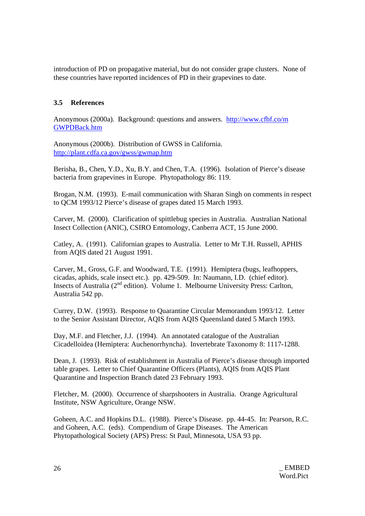introduction of PD on propagative material, but do not consider grape clusters. None of these countries have reported incidences of PD in their grapevines to date.

# **3.5 References**

Anonymous (2000a). Background: questions and answers. http://www.cfbf.co/m GWPDBack.htm

Anonymous (2000b). Distribution of GWSS in California. http://plant.cdfa.ca.gov/gwss/gwmap.htm

Berisha, B., Chen, Y.D., Xu, B.Y. and Chen, T.A. (1996). Isolation of Pierce's disease bacteria from grapevines in Europe. Phytopathology 86: 119.

Brogan, N.M. (1993). E-mail communication with Sharan Singh on comments in respect to QCM 1993/12 Pierce's disease of grapes dated 15 March 1993.

Carver, M. (2000). Clarification of spittlebug species in Australia. Australian National Insect Collection (ANIC), CSIRO Entomology, Canberra ACT, 15 June 2000.

Catley, A. (1991). Californian grapes to Australia. Letter to Mr T.H. Russell, APHIS from AQIS dated 21 August 1991.

Carver, M., Gross, G.F. and Woodward, T.E. (1991). Hemiptera (bugs, leafhoppers, cicadas, aphids, scale insect etc.). pp. 429-509. In: Naumann, I.D. (chief editor). Insects of Australia (2nd edition). Volume 1. Melbourne University Press: Carlton, Australia 542 pp.

Currey, D.W. (1993). Response to Quarantine Circular Memorandum 1993/12. Letter to the Senior Assistant Director, AQIS from AQIS Queensland dated 5 March 1993.

Day, M.F. and Fletcher, J.J. (1994). An annotated catalogue of the Australian Cicadelloidea (Hemiptera: Auchenorrhyncha). Invertebrate Taxonomy 8: 1117-1288.

Dean, J. (1993). Risk of establishment in Australia of Pierce's disease through imported table grapes. Letter to Chief Quarantine Officers (Plants), AQIS from AQIS Plant Quarantine and Inspection Branch dated 23 February 1993.

Fletcher, M. (2000). Occurrence of sharpshooters in Australia. Orange Agricultural Institute, NSW Agriculture, Orange NSW.

Goheen, A.C. and Hopkins D.L. (1988). Pierce's Disease. pp. 44-45. In: Pearson, R.C. and Goheen, A.C. (eds). Compendium of Grape Diseases. The American Phytopathological Society (APS) Press: St Paul, Minnesota, USA 93 pp.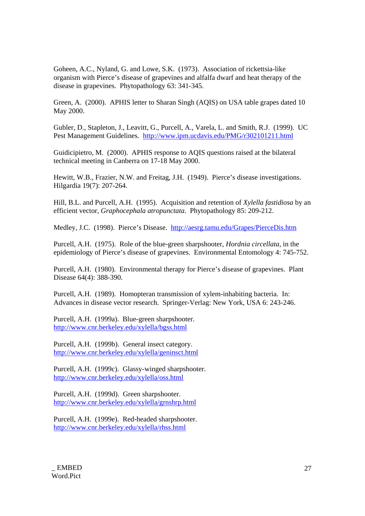Goheen, A.C., Nyland, G. and Lowe, S.K. (1973). Association of rickettsia-like organism with Pierce's disease of grapevines and alfalfa dwarf and heat therapy of the disease in grapevines. Phytopathology 63: 341-345.

Green, A. (2000). APHIS letter to Sharan Singh (AQIS) on USA table grapes dated 10 May 2000.

Gubler, D., Stapleton, J., Leavitt, G., Purcell, A., Varela, L. and Smith, R.J. (1999). UC Pest Management Guidelines. http://www.ipm.ucdavis.edu/PMG/r302101211.html

Guidicipietro, M. (2000). APHIS response to AQIS questions raised at the bilateral technical meeting in Canberra on 17-18 May 2000.

Hewitt, W.B., Frazier, N.W. and Freitag, J.H. (1949). Pierce's disease investigations. Hilgardia 19(7): 207-264.

Hill, B.L. and Purcell, A.H. (1995). Acquisition and retention of *Xylella fastidiosa* by an efficient vector, *Graphocephala atropunctata*. Phytopathology 85: 209-212.

Medley, J.C. (1998). Pierce's Disease. http://aesrg.tamu.edu/Grapes/PierceDis.htm

Purcell, A.H. (1975). Role of the blue-green sharpshooter, *Hordnia circellata*, in the epidemiology of Pierce's disease of grapevines. Environmental Entomology 4: 745-752.

Purcell, A.H. (1980). Environmental therapy for Pierce's disease of grapevines. Plant Disease 64(4): 388-390.

Purcell, A.H. (1989). Homopteran transmission of xylem-inhabiting bacteria. In: Advances in disease vector research. Springer-Verlag: New York, USA 6: 243-246.

Purcell, A.H. (1999a). Blue-green sharpshooter. http://www.cnr.berkeley.edu/xylella/bgss.html

Purcell, A.H. (1999b). General insect category. http://www.cnr.berkeley.edu/xylella/geninsct.html

Purcell, A.H. (1999c). Glassy-winged sharpshooter. http://www.cnr.berkeley.edu/xylella/oss.html

Purcell, A.H. (1999d). Green sharpshooter. http://www.cnr.berkeley.edu/xylella/grnshrp.html

Purcell, A.H. (1999e). Red-headed sharpshooter. http://www.cnr.berkeley.edu/xylella/rhss.html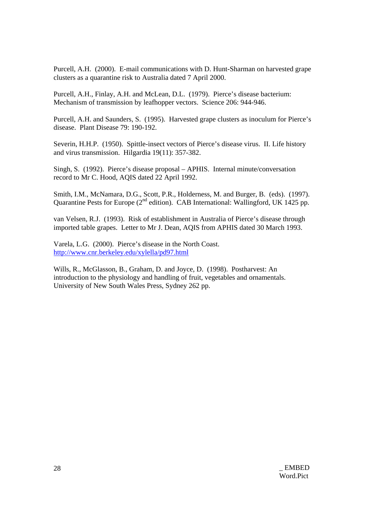Purcell, A.H. (2000). E-mail communications with D. Hunt-Sharman on harvested grape clusters as a quarantine risk to Australia dated 7 April 2000.

Purcell, A.H., Finlay, A.H. and McLean, D.L. (1979). Pierce's disease bacterium: Mechanism of transmission by leafhopper vectors. Science 206: 944-946.

Purcell, A.H. and Saunders, S. (1995). Harvested grape clusters as inoculum for Pierce's disease. Plant Disease 79: 190-192.

Severin, H.H.P. (1950). Spittle-insect vectors of Pierce's disease virus. II. Life history and virus transmission. Hilgardia 19(11): 357-382.

Singh, S. (1992). Pierce's disease proposal – APHIS. Internal minute/conversation record to Mr C. Hood, AQIS dated 22 April 1992.

Smith, I.M., McNamara, D.G., Scott, P.R., Holderness, M. and Burger, B. (eds). (1997). Quarantine Pests for Europe ( $2<sup>nd</sup>$  edition). CAB International: Wallingford, UK 1425 pp.

van Velsen, R.J. (1993). Risk of establishment in Australia of Pierce's disease through imported table grapes. Letter to Mr J. Dean, AQIS from APHIS dated 30 March 1993.

Varela, L.G. (2000). Pierce's disease in the North Coast. http://www.cnr.berkeley.edu/xylella/pd97.html

Wills, R., McGlasson, B., Graham, D. and Joyce, D. (1998). Postharvest: An introduction to the physiology and handling of fruit, vegetables and ornamentals. University of New South Wales Press, Sydney 262 pp.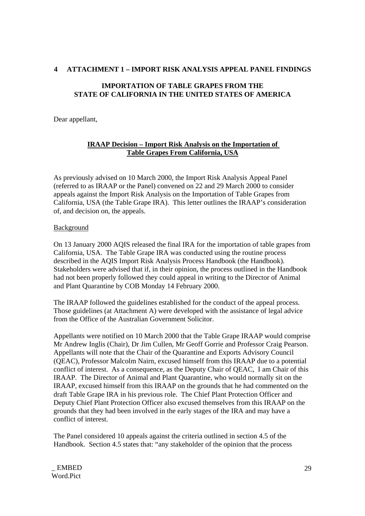# **4 ATTACHMENT 1 – IMPORT RISK ANALYSIS APPEAL PANEL FINDINGS**

# **IMPORTATION OF TABLE GRAPES FROM THE STATE OF CALIFORNIA IN THE UNITED STATES OF AMERICA**

Dear appellant,

# **IRAAP Decision – Import Risk Analysis on the Importation of Table Grapes From California, USA**

As previously advised on 10 March 2000, the Import Risk Analysis Appeal Panel (referred to as IRAAP or the Panel) convened on 22 and 29 March 2000 to consider appeals against the Import Risk Analysis on the Importation of Table Grapes from California, USA (the Table Grape IRA). This letter outlines the IRAAP's consideration of, and decision on, the appeals.

# **Background**

On 13 January 2000 AQIS released the final IRA for the importation of table grapes from California, USA. The Table Grape IRA was conducted using the routine process described in the AQIS Import Risk Analysis Process Handbook (the Handbook). Stakeholders were advised that if, in their opinion, the process outlined in the Handbook had not been properly followed they could appeal in writing to the Director of Animal and Plant Quarantine by COB Monday 14 February 2000.

The IRAAP followed the guidelines established for the conduct of the appeal process. Those guidelines (at Attachment A) were developed with the assistance of legal advice from the Office of the Australian Government Solicitor.

Appellants were notified on 10 March 2000 that the Table Grape IRAAP would comprise Mr Andrew Inglis (Chair), Dr Jim Cullen, Mr Geoff Gorrie and Professor Craig Pearson. Appellants will note that the Chair of the Quarantine and Exports Advisory Council (QEAC), Professor Malcolm Nairn, excused himself from this IRAAP due to a potential conflict of interest. As a consequence, as the Deputy Chair of QEAC, I am Chair of this IRAAP. The Director of Animal and Plant Quarantine, who would normally sit on the IRAAP, excused himself from this IRAAP on the grounds that he had commented on the draft Table Grape IRA in his previous role. The Chief Plant Protection Officer and Deputy Chief Plant Protection Officer also excused themselves from this IRAAP on the grounds that they had been involved in the early stages of the IRA and may have a conflict of interest.

The Panel considered 10 appeals against the criteria outlined in section 4.5 of the Handbook. Section 4.5 states that: "any stakeholder of the opinion that the process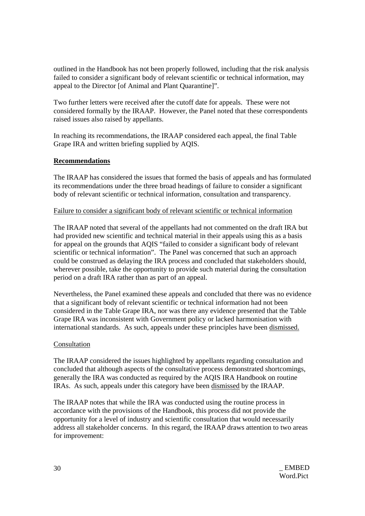outlined in the Handbook has not been properly followed, including that the risk analysis failed to consider a significant body of relevant scientific or technical information, may appeal to the Director [of Animal and Plant Quarantine]".

Two further letters were received after the cutoff date for appeals. These were not considered formally by the IRAAP. However, the Panel noted that these correspondents raised issues also raised by appellants.

In reaching its recommendations, the IRAAP considered each appeal, the final Table Grape IRA and written briefing supplied by AQIS.

# **Recommendations**

The IRAAP has considered the issues that formed the basis of appeals and has formulated its recommendations under the three broad headings of failure to consider a significant body of relevant scientific or technical information, consultation and transparency.

## Failure to consider a significant body of relevant scientific or technical information

The IRAAP noted that several of the appellants had not commented on the draft IRA but had provided new scientific and technical material in their appeals using this as a basis for appeal on the grounds that AQIS "failed to consider a significant body of relevant scientific or technical information". The Panel was concerned that such an approach could be construed as delaying the IRA process and concluded that stakeholders should, wherever possible, take the opportunity to provide such material during the consultation period on a draft IRA rather than as part of an appeal.

Nevertheless, the Panel examined these appeals and concluded that there was no evidence that a significant body of relevant scientific or technical information had not been considered in the Table Grape IRA, nor was there any evidence presented that the Table Grape IRA was inconsistent with Government policy or lacked harmonisation with international standards. As such, appeals under these principles have been dismissed.

## Consultation

The IRAAP considered the issues highlighted by appellants regarding consultation and concluded that although aspects of the consultative process demonstrated shortcomings, generally the IRA was conducted as required by the AQIS IRA Handbook on routine IRAs. As such, appeals under this category have been dismissed by the IRAAP.

The IRAAP notes that while the IRA was conducted using the routine process in accordance with the provisions of the Handbook, this process did not provide the opportunity for a level of industry and scientific consultation that would necessarily address all stakeholder concerns. In this regard, the IRAAP draws attention to two areas for improvement: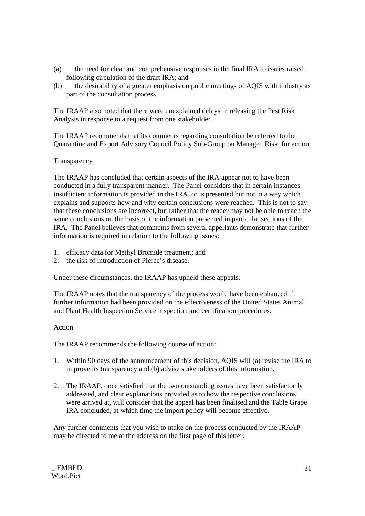- (a) the need for clear and comprehensive responses in the final IRA to issues raised following circulation of the draft IRA; and
- (b) the desirability of a greater emphasis on public meetings of AQIS with industry as part of the consultation process.

The IRAAP also noted that there were unexplained delays in releasing the Pest Risk Analysis in response to a request from one stakeholder.

The IRAAP recommends that its comments regarding consultation be referred to the Quarantine and Export Advisory Council Policy Sub-Group on Managed Risk, for action.

## Transparency

The IRAAP has concluded that certain aspects of the IRA appear not to have been conducted in a fully transparent manner. The Panel considers that in certain instances insufficient information is provided in the IRA, or is presented but not in a way which explains and supports how and why certain conclusions were reached. This is not to say that these conclusions are incorrect, but rather that the reader may not be able to reach the same conclusions on the basis of the information presented in particular sections of the IRA. The Panel believes that comments from several appellants demonstrate that further information is required in relation to the following issues:

- 1. efficacy data for Methyl Bromide treatment; and
- 2. the risk of introduction of Pierce's disease.

Under these circumstances, the IRAAP has upheld these appeals.

The IRAAP notes that the transparency of the process would have been enhanced if further information had been provided on the effectiveness of the United States Animal and Plant Health Inspection Service inspection and certification procedures.

## Action

The IRAAP recommends the following course of action:

- 1. Within 90 days of the announcement of this decision, AQIS will (a) revise the IRA to improve its transparency and (b) advise stakeholders of this information.
- 2. The IRAAP, once satisfied that the two outstanding issues have been satisfactorily addressed, and clear explanations provided as to how the respective conclusions were arrived at, will consider that the appeal has been finalised and the Table Grape IRA concluded, at which time the import policy will become effective.

Any further comments that you wish to make on the process conducted by the IRAAP may be directed to me at the address on the first page of this letter.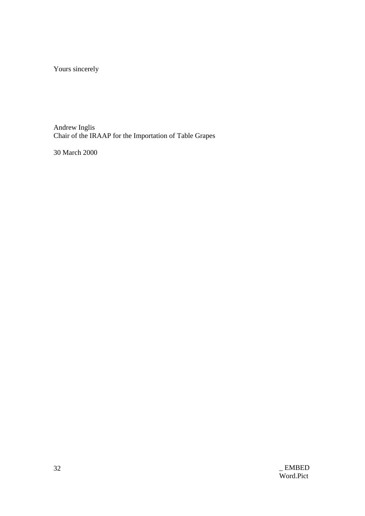Yours sincerely

Andrew Inglis Chair of the IRAAP for the Importation of Table Grapes

30 March 2000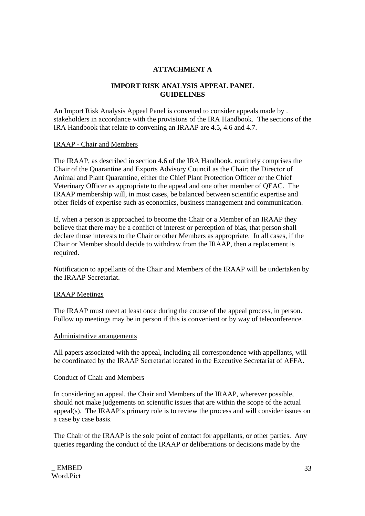# **ATTACHMENT A**

## **IMPORT RISK ANALYSIS APPEAL PANEL GUIDELINES**

An Import Risk Analysis Appeal Panel is convened to consider appeals made by . stakeholders in accordance with the provisions of the IRA Handbook. The sections of the IRA Handbook that relate to convening an IRAAP are 4.5, 4.6 and 4.7.

#### IRAAP - Chair and Members

The IRAAP, as described in section 4.6 of the IRA Handbook, routinely comprises the Chair of the Quarantine and Exports Advisory Council as the Chair; the Director of Animal and Plant Quarantine, either the Chief Plant Protection Officer or the Chief Veterinary Officer as appropriate to the appeal and one other member of QEAC. The IRAAP membership will, in most cases, be balanced between scientific expertise and other fields of expertise such as economics, business management and communication.

If, when a person is approached to become the Chair or a Member of an IRAAP they believe that there may be a conflict of interest or perception of bias, that person shall declare those interests to the Chair or other Members as appropriate. In all cases, if the Chair or Member should decide to withdraw from the IRAAP, then a replacement is required.

Notification to appellants of the Chair and Members of the IRAAP will be undertaken by the IRAAP Secretariat.

#### IRAAP Meetings

The IRAAP must meet at least once during the course of the appeal process, in person. Follow up meetings may be in person if this is convenient or by way of teleconference.

#### Administrative arrangements

All papers associated with the appeal, including all correspondence with appellants, will be coordinated by the IRAAP Secretariat located in the Executive Secretariat of AFFA.

#### Conduct of Chair and Members

In considering an appeal, the Chair and Members of the IRAAP, wherever possible, should not make judgements on scientific issues that are within the scope of the actual appeal(s). The IRAAP's primary role is to review the process and will consider issues on a case by case basis.

The Chair of the IRAAP is the sole point of contact for appellants, or other parties. Any queries regarding the conduct of the IRAAP or deliberations or decisions made by the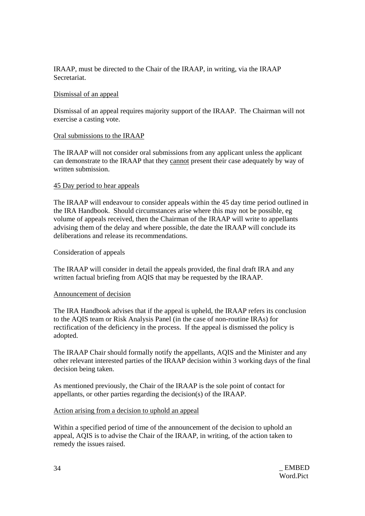IRAAP, must be directed to the Chair of the IRAAP, in writing, via the IRAAP Secretariat.

## Dismissal of an appeal

Dismissal of an appeal requires majority support of the IRAAP. The Chairman will not exercise a casting vote.

## Oral submissions to the IRAAP

The IRAAP will not consider oral submissions from any applicant unless the applicant can demonstrate to the IRAAP that they cannot present their case adequately by way of written submission.

#### 45 Day period to hear appeals

The IRAAP will endeavour to consider appeals within the 45 day time period outlined in the IRA Handbook. Should circumstances arise where this may not be possible, eg volume of appeals received, then the Chairman of the IRAAP will write to appellants advising them of the delay and where possible, the date the IRAAP will conclude its deliberations and release its recommendations.

#### Consideration of appeals

The IRAAP will consider in detail the appeals provided, the final draft IRA and any written factual briefing from AQIS that may be requested by the IRAAP.

#### Announcement of decision

The IRA Handbook advises that if the appeal is upheld, the IRAAP refers its conclusion to the AQIS team or Risk Analysis Panel (in the case of non-routine IRAs) for rectification of the deficiency in the process. If the appeal is dismissed the policy is adopted.

The IRAAP Chair should formally notify the appellants, AQIS and the Minister and any other relevant interested parties of the IRAAP decision within 3 working days of the final decision being taken.

As mentioned previously, the Chair of the IRAAP is the sole point of contact for appellants, or other parties regarding the decision(s) of the IRAAP.

## Action arising from a decision to uphold an appeal

Within a specified period of time of the announcement of the decision to uphold an appeal, AQIS is to advise the Chair of the IRAAP, in writing, of the action taken to remedy the issues raised.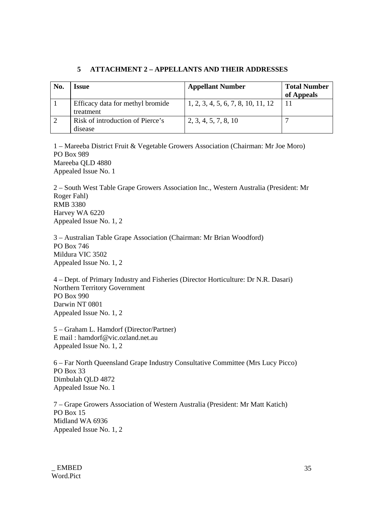# **5 ATTACHMENT 2 – APPELLANTS AND THEIR ADDRESSES**

| No. | Issue                                         | <b>Appellant Number</b>            | <b>Total Number</b><br>of Appeals |
|-----|-----------------------------------------------|------------------------------------|-----------------------------------|
|     | Efficacy data for methyl bromide<br>treatment | 1, 2, 3, 4, 5, 6, 7, 8, 10, 11, 12 |                                   |
|     | Risk of introduction of Pierce's<br>disease   | 2, 3, 4, 5, 7, 8, 10               |                                   |

1 – Mareeba District Fruit & Vegetable Growers Association (Chairman: Mr Joe Moro) PO Box 989 Mareeba QLD 4880 Appealed Issue No. 1

2 – South West Table Grape Growers Association Inc., Western Australia (President: Mr Roger Fahl) RMB 3380 Harvey WA 6220 Appealed Issue No. 1, 2

3 – Australian Table Grape Association (Chairman: Mr Brian Woodford) PO Box 746 Mildura VIC 3502 Appealed Issue No. 1, 2

4 – Dept. of Primary Industry and Fisheries (Director Horticulture: Dr N.R. Dasari) Northern Territory Government PO Box 990 Darwin NT 0801 Appealed Issue No. 1, 2

5 – Graham L. Hamdorf (Director/Partner) E mail : hamdorf@vic.ozland.net.au Appealed Issue No. 1, 2

6 – Far North Queensland Grape Industry Consultative Committee (Mrs Lucy Picco) PO Box 33 Dimbulah QLD 4872 Appealed Issue No. 1

7 – Grape Growers Association of Western Australia (President: Mr Matt Katich) PO Box 15 Midland WA 6936 Appealed Issue No. 1, 2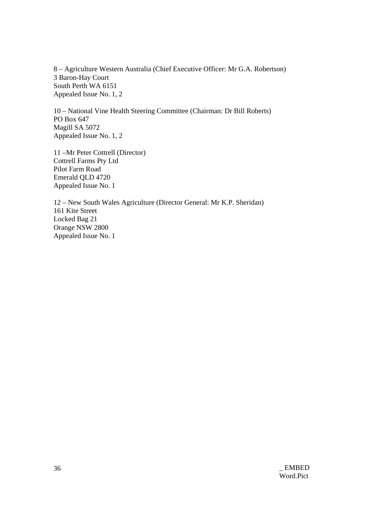8 – Agriculture Western Australia (Chief Executive Officer: Mr G.A. Robertson) 3 Baron-Hay Court South Perth WA 6151 Appealed Issue No. 1, 2

10 – National Vine Health Steering Committee (Chairman: Dr Bill Roberts) PO Box 647 Magill SA 5072 Appealed Issue No. 1, 2

11 –Mr Peter Cottrell (Director) Cottrell Farms Pty Ltd Pilot Farm Road Emerald QLD 4720 Appealed Issue No. 1

12 – New South Wales Agriculture (Director General: Mr K.P. Sheridan) 161 Kite Street Locked Bag 21 Orange NSW 2800 Appealed Issue No. 1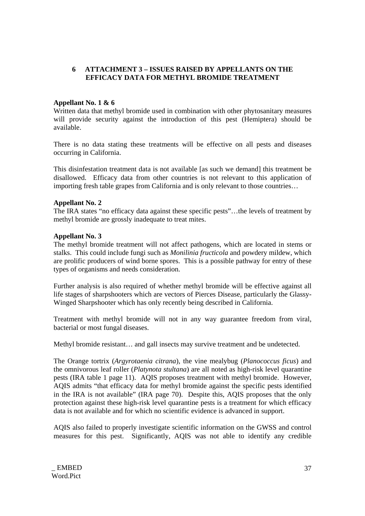# **6 ATTACHMENT 3 – ISSUES RAISED BY APPELLANTS ON THE EFFICACY DATA FOR METHYL BROMIDE TREATMENT**

## **Appellant No. 1 & 6**

Written data that methyl bromide used in combination with other phytosanitary measures will provide security against the introduction of this pest (Hemiptera) should be available.

There is no data stating these treatments will be effective on all pests and diseases occurring in California.

This disinfestation treatment data is not available [as such we demand] this treatment be disallowed. Efficacy data from other countries is not relevant to this application of importing fresh table grapes from California and is only relevant to those countries…

## **Appellant No. 2**

The IRA states "no efficacy data against these specific pests"…the levels of treatment by methyl bromide are grossly inadequate to treat mites.

#### **Appellant No. 3**

The methyl bromide treatment will not affect pathogens, which are located in stems or stalks. This could include fungi such as *Monilinia fructicola* and powdery mildew, which are prolific producers of wind borne spores. This is a possible pathway for entry of these types of organisms and needs consideration.

Further analysis is also required of whether methyl bromide will be effective against all life stages of sharpshooters which are vectors of Pierces Disease, particularly the Glassy-Winged Sharpshooter which has only recently being described in California.

Treatment with methyl bromide will not in any way guarantee freedom from viral, bacterial or most fungal diseases.

Methyl bromide resistant… and gall insects may survive treatment and be undetected.

The Orange tortrix (*Argyrotaenia citrana*), the vine mealybug (*Planococcus ficus*) and the omnivorous leaf roller (*Platynota stultana*) are all noted as high-risk level quarantine pests (IRA table 1 page 11). AQIS proposes treatment with methyl bromide. However, AQIS admits "that efficacy data for methyl bromide against the specific pests identified in the IRA is not available" (IRA page 70). Despite this, AQIS proposes that the only protection against these high-risk level quarantine pests is a treatment for which efficacy data is not available and for which no scientific evidence is advanced in support.

AQIS also failed to properly investigate scientific information on the GWSS and control measures for this pest. Significantly, AQIS was not able to identify any credible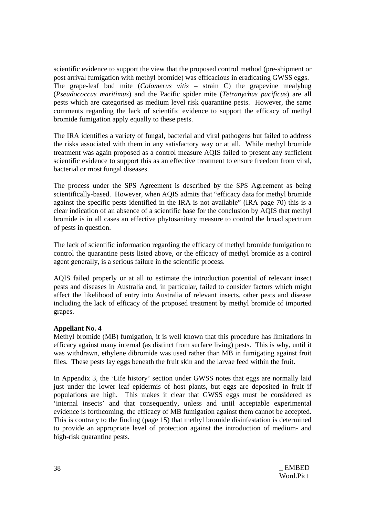scientific evidence to support the view that the proposed control method (pre-shipment or post arrival fumigation with methyl bromide) was efficacious in eradicating GWSS eggs. The grape-leaf bud mite (*Colomerus vitis* – strain C) the grapevine mealybug (*Pseudococcus maritimus*) and the Pacific spider mite (*Tetranychus pacificus*) are all pests which are categorised as medium level risk quarantine pests. However, the same comments regarding the lack of scientific evidence to support the efficacy of methyl bromide fumigation apply equally to these pests.

The IRA identifies a variety of fungal, bacterial and viral pathogens but failed to address the risks associated with them in any satisfactory way or at all. While methyl bromide treatment was again proposed as a control measure AQIS failed to present any sufficient scientific evidence to support this as an effective treatment to ensure freedom from viral, bacterial or most fungal diseases.

The process under the SPS Agreement is described by the SPS Agreement as being scientifically-based. However, when AQIS admits that "efficacy data for methyl bromide against the specific pests identified in the IRA is not available" (IRA page 70) this is a clear indication of an absence of a scientific base for the conclusion by AQIS that methyl bromide is in all cases an effective phytosanitary measure to control the broad spectrum of pests in question.

The lack of scientific information regarding the efficacy of methyl bromide fumigation to control the quarantine pests listed above, or the efficacy of methyl bromide as a control agent generally, is a serious failure in the scientific process.

AQIS failed properly or at all to estimate the introduction potential of relevant insect pests and diseases in Australia and, in particular, failed to consider factors which might affect the likelihood of entry into Australia of relevant insects, other pests and disease including the lack of efficacy of the proposed treatment by methyl bromide of imported grapes.

## **Appellant No. 4**

Methyl bromide (MB) fumigation, it is well known that this procedure has limitations in efficacy against many internal (as distinct from surface living) pests. This is why, until it was withdrawn, ethylene dibromide was used rather than MB in fumigating against fruit flies. These pests lay eggs beneath the fruit skin and the larvae feed within the fruit.

In Appendix 3, the 'Life history' section under GWSS notes that eggs are normally laid just under the lower leaf epidermis of host plants, but eggs are deposited in fruit if populations are high. This makes it clear that GWSS eggs must be considered as 'internal insects' and that consequently, unless and until acceptable experimental evidence is forthcoming, the efficacy of MB fumigation against them cannot be accepted. This is contrary to the finding (page 15) that methyl bromide disinfestation is determined to provide an appropriate level of protection against the introduction of medium- and high-risk quarantine pests.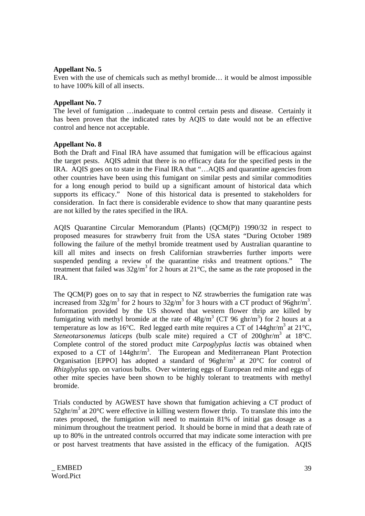## **Appellant No. 5**

Even with the use of chemicals such as methyl bromide… it would be almost impossible to have 100% kill of all insects.

## **Appellant No. 7**

The level of fumigation …inadequate to control certain pests and disease. Certainly it has been proven that the indicated rates by AQIS to date would not be an effective control and hence not acceptable.

## **Appellant No. 8**

Both the Draft and Final IRA have assumed that fumigation will be efficacious against the target pests. AQIS admit that there is no efficacy data for the specified pests in the IRA. AQIS goes on to state in the Final IRA that "…AQIS and quarantine agencies from other countries have been using this fumigant on similar pests and similar commodities for a long enough period to build up a significant amount of historical data which supports its efficacy." None of this historical data is presented to stakeholders for consideration. In fact there is considerable evidence to show that many quarantine pests are not killed by the rates specified in the IRA.

AQIS Quarantine Circular Memorandum (Plants) (QCM(P)) 1990/32 in respect to proposed measures for strawberry fruit from the USA states "During October 1989 following the failure of the methyl bromide treatment used by Australian quarantine to kill all mites and insects on fresh Californian strawberries further imports were suspended pending a review of the quarantine risks and treatment options." The treatment that failed was  $32g/m^3$  for 2 hours at  $21^{\circ}$ C, the same as the rate proposed in the IRA.

The OCM(P) goes on to say that in respect to NZ strawberries the fumigation rate was increased from  $32g/m^3$  for 2 hours to  $32g/m^3$  for 3 hours with a CT product of 96ghr/m<sup>3</sup>. Information provided by the US showed that western flower thrip are killed by fumigating with methyl bromide at the rate of  $48g/m<sup>3</sup>$  (CT 96 ghr/m<sup>3</sup>) for 2 hours at a temperature as low as 16°C. Red legged earth mite requires a CT of  $144ghr/m<sup>3</sup>$  at 21°C, Steneotarsonemus laticeps (bulb scale mite) required a CT of 200ghr/m<sup>3</sup> at 18°C. Complete control of the stored product mite *Carpoglyplus lactis* was obtained when exposed to a CT of  $144\text{ghr/m}^3$ . The European and Mediterranean Plant Protection Organisation [EPPO] has adopted a standard of  $96ghr/m<sup>3</sup>$  at  $20°C$  for control of *Rhizglyplus* spp. on various bulbs. Over wintering eggs of European red mite and eggs of other mite species have been shown to be highly tolerant to treatments with methyl bromide.

Trials conducted by AGWEST have shown that fumigation achieving a CT product of 52ghr/m<sup>3</sup> at 20 $^{\circ}$ C were effective in killing western flower thrip. To translate this into the rates proposed, the fumigation will need to maintain 81% of initial gas dosage as a minimum throughout the treatment period. It should be borne in mind that a death rate of up to 80% in the untreated controls occurred that may indicate some interaction with pre or post harvest treatments that have assisted in the efficacy of the fumigation. AQIS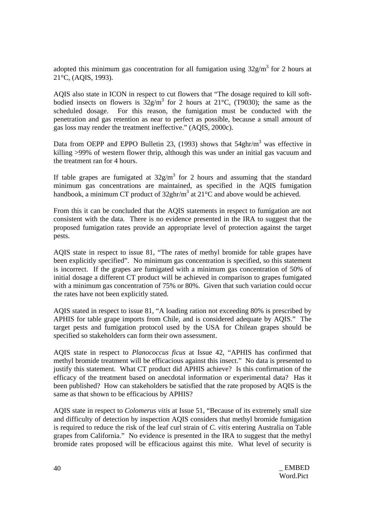adopted this minimum gas concentration for all fumigation using  $32g/m<sup>3</sup>$  for 2 hours at 21°C, (AQIS, 1993).

AQIS also state in ICON in respect to cut flowers that "The dosage required to kill softbodied insects on flowers is  $32g/m^3$  for 2 hours at 21°C, (T9030); the same as the scheduled dosage. For this reason, the fumigation must be conducted with the penetration and gas retention as near to perfect as possible, because a small amount of gas loss may render the treatment ineffective." (AQIS, 2000c).

Data from OEPP and EPPO Bulletin 23, (1993) shows that  $54ghr/m<sup>3</sup>$  was effective in killing >99% of western flower thrip, although this was under an initial gas vacuum and the treatment ran for 4 hours.

If table grapes are fumigated at  $32g/m<sup>3</sup>$  for 2 hours and assuming that the standard minimum gas concentrations are maintained, as specified in the AQIS fumigation handbook, a minimum CT product of  $32ghr/m^3$  at  $21^{\circ}$ C and above would be achieved.

From this it can be concluded that the AQIS statements in respect to fumigation are not consistent with the data. There is no evidence presented in the IRA to suggest that the proposed fumigation rates provide an appropriate level of protection against the target pests.

AQIS state in respect to issue 81, "The rates of methyl bromide for table grapes have been explicitly specified". No minimum gas concentration is specified, so this statement is incorrect. If the grapes are fumigated with a minimum gas concentration of 50% of initial dosage a different CT product will be achieved in comparison to grapes fumigated with a minimum gas concentration of 75% or 80%. Given that such variation could occur the rates have not been explicitly stated.

AQIS stated in respect to issue 81, "A loading ration not exceeding 80% is prescribed by APHIS for table grape imports from Chile, and is considered adequate by AQIS." The target pests and fumigation protocol used by the USA for Chilean grapes should be specified so stakeholders can form their own assessment.

AQIS state in respect to *Planococcus ficus* at Issue 42, "APHIS has confirmed that methyl bromide treatment will be efficacious against this insect." No data is presented to justify this statement. What CT product did APHIS achieve? Is this confirmation of the efficacy of the treatment based on anecdotal information or experimental data? Has it been published? How can stakeholders be satisfied that the rate proposed by AQIS is the same as that shown to be efficacious by APHIS?

AQIS state in respect to *Colomerus vitis* at Issue 51, "Because of its extremely small size and difficulty of detection by inspection AQIS considers that methyl bromide fumigation is required to reduce the risk of the leaf curl strain of *C. vitis* entering Australia on Table grapes from California." No evidence is presented in the IRA to suggest that the methyl bromide rates proposed will be efficacious against this mite. What level of security is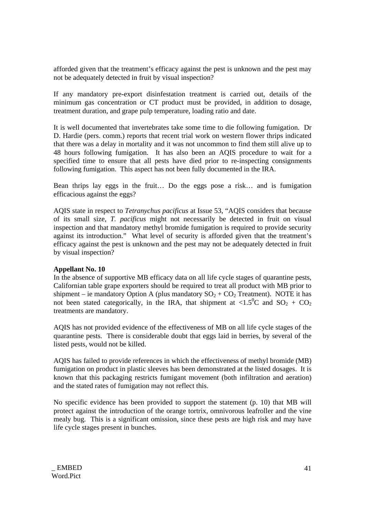afforded given that the treatment's efficacy against the pest is unknown and the pest may not be adequately detected in fruit by visual inspection?

If any mandatory pre-export disinfestation treatment is carried out, details of the minimum gas concentration or CT product must be provided, in addition to dosage, treatment duration, and grape pulp temperature, loading ratio and date.

It is well documented that invertebrates take some time to die following fumigation. Dr D. Hardie (pers. comm.) reports that recent trial work on western flower thrips indicated that there was a delay in mortality and it was not uncommon to find them still alive up to 48 hours following fumigation. It has also been an AQIS procedure to wait for a specified time to ensure that all pests have died prior to re-inspecting consignments following fumigation. This aspect has not been fully documented in the IRA.

Bean thrips lay eggs in the fruit… Do the eggs pose a risk… and is fumigation efficacious against the eggs?

AQIS state in respect to *Tetranychus pacificus* at Issue 53, "AQIS considers that because of its small size, *T. pacificus* might not necessarily be detected in fruit on visual inspection and that mandatory methyl bromide fumigation is required to provide security against its introduction." What level of security is afforded given that the treatment's efficacy against the pest is unknown and the pest may not be adequately detected in fruit by visual inspection?

## **Appellant No. 10**

In the absence of supportive MB efficacy data on all life cycle stages of quarantine pests, Californian table grape exporters should be required to treat all product with MB prior to shipment – ie mandatory Option A (plus mandatory  $SO_2 + CO_2$  Treatment). NOTE it has not been stated categorically, in the IRA, that shipment at <1.5<sup>o</sup>C and SO<sub>2</sub> + CO<sub>2</sub> treatments are mandatory.

AQIS has not provided evidence of the effectiveness of MB on all life cycle stages of the quarantine pests. There is considerable doubt that eggs laid in berries, by several of the listed pests, would not be killed.

AQIS has failed to provide references in which the effectiveness of methyl bromide (MB) fumigation on product in plastic sleeves has been demonstrated at the listed dosages. It is known that this packaging restricts fumigant movement (both infiltration and aeration) and the stated rates of fumigation may not reflect this.

No specific evidence has been provided to support the statement (p. 10) that MB will protect against the introduction of the orange tortrix, omnivorous leafroller and the vine mealy bug. This is a significant omission, since these pests are high risk and may have life cycle stages present in bunches.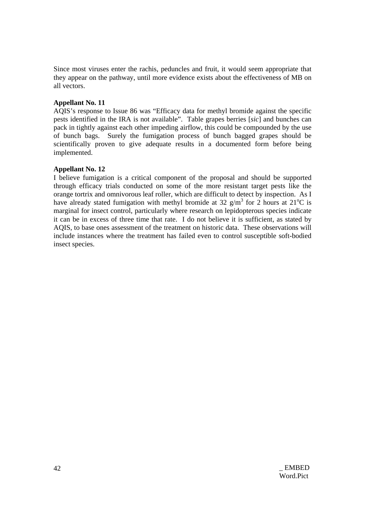Since most viruses enter the rachis, peduncles and fruit, it would seem appropriate that they appear on the pathway, until more evidence exists about the effectiveness of MB on all vectors.

## **Appellant No. 11**

AQIS's response to Issue 86 was "Efficacy data for methyl bromide against the specific pests identified in the IRA is not available". Table grapes berries [*sic*] and bunches can pack in tightly against each other impeding airflow, this could be compounded by the use of bunch bags. Surely the fumigation process of bunch bagged grapes should be scientifically proven to give adequate results in a documented form before being implemented.

#### **Appellant No. 12**

I believe fumigation is a critical component of the proposal and should be supported through efficacy trials conducted on some of the more resistant target pests like the orange tortrix and omnivorous leaf roller, which are difficult to detect by inspection. As I have already stated fumigation with methyl bromide at 32  $g/m<sup>3</sup>$  for 2 hours at 21<sup>o</sup>C is marginal for insect control, particularly where research on lepidopterous species indicate it can be in excess of three time that rate. I do not believe it is sufficient, as stated by AQIS, to base ones assessment of the treatment on historic data. These observations will include instances where the treatment has failed even to control susceptible soft-bodied insect species.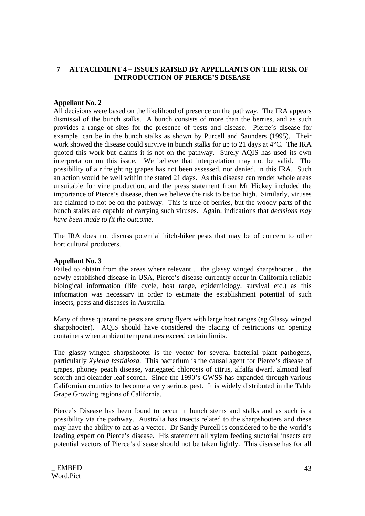# **7 ATTACHMENT 4 – ISSUES RAISED BY APPELLANTS ON THE RISK OF INTRODUCTION OF PIERCE'S DISEASE**

#### **Appellant No. 2**

All decisions were based on the likelihood of presence on the pathway. The IRA appears dismissal of the bunch stalks. A bunch consists of more than the berries, and as such provides a range of sites for the presence of pests and disease. Pierce's disease for example, can be in the bunch stalks as shown by Purcell and Saunders (1995). Their work showed the disease could survive in bunch stalks for up to 21 days at 4°C. The IRA quoted this work but claims it is not on the pathway. Surely AQIS has used its own interpretation on this issue. We believe that interpretation may not be valid. The possibility of air freighting grapes has not been assessed, nor denied, in this IRA. Such an action would be well within the stated 21 days. As this disease can render whole areas unsuitable for vine production, and the press statement from Mr Hickey included the importance of Pierce's disease, then we believe the risk to be too high. Similarly, viruses are claimed to not be on the pathway. This is true of berries, but the woody parts of the bunch stalks are capable of carrying such viruses. Again, indications that *decisions may have been made to fit the outcome.*

The IRA does not discuss potential hitch-hiker pests that may be of concern to other horticultural producers.

#### **Appellant No. 3**

Failed to obtain from the areas where relevant… the glassy winged sharpshooter… the newly established disease in USA, Pierce's disease currently occur in California reliable biological information (life cycle, host range, epidemiology, survival etc.) as this information was necessary in order to estimate the establishment potential of such insects, pests and diseases in Australia.

Many of these quarantine pests are strong flyers with large host ranges (eg Glassy winged sharpshooter). AQIS should have considered the placing of restrictions on opening containers when ambient temperatures exceed certain limits.

The glassy-winged sharpshooter is the vector for several bacterial plant pathogens, particularly *Xylella fastidiosa*. This bacterium is the causal agent for Pierce's disease of grapes, phoney peach disease, variegated chlorosis of citrus, alfalfa dwarf, almond leaf scorch and oleander leaf scorch. Since the 1990's GWSS has expanded through various Californian counties to become a very serious pest. It is widely distributed in the Table Grape Growing regions of California.

Pierce's Disease has been found to occur in bunch stems and stalks and as such is a possibility via the pathway. Australia has insects related to the sharpshooters and these may have the ability to act as a vector. Dr Sandy Purcell is considered to be the world's leading expert on Pierce's disease. His statement all xylem feeding suctorial insects are potential vectors of Pierce's disease should not be taken lightly. This disease has for all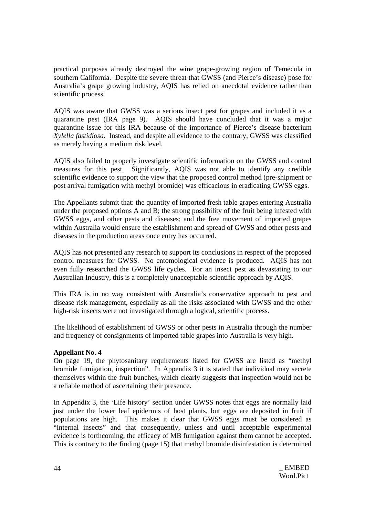practical purposes already destroyed the wine grape-growing region of Temecula in southern California. Despite the severe threat that GWSS (and Pierce's disease) pose for Australia's grape growing industry, AQIS has relied on anecdotal evidence rather than scientific process.

AQIS was aware that GWSS was a serious insect pest for grapes and included it as a quarantine pest (IRA page 9). AQIS should have concluded that it was a major quarantine issue for this IRA because of the importance of Pierce's disease bacterium *Xylella fastidiosa*. Instead, and despite all evidence to the contrary, GWSS was classified as merely having a medium risk level.

AQIS also failed to properly investigate scientific information on the GWSS and control measures for this pest. Significantly, AQIS was not able to identify any credible scientific evidence to support the view that the proposed control method (pre-shipment or post arrival fumigation with methyl bromide) was efficacious in eradicating GWSS eggs.

The Appellants submit that: the quantity of imported fresh table grapes entering Australia under the proposed options A and B; the strong possibility of the fruit being infested with GWSS eggs, and other pests and diseases; and the free movement of imported grapes within Australia would ensure the establishment and spread of GWSS and other pests and diseases in the production areas once entry has occurred.

AQIS has not presented any research to support its conclusions in respect of the proposed control measures for GWSS. No entomological evidence is produced. AQIS has not even fully researched the GWSS life cycles. For an insect pest as devastating to our Australian Industry, this is a completely unacceptable scientific approach by AQIS.

This IRA is in no way consistent with Australia's conservative approach to pest and disease risk management, especially as all the risks associated with GWSS and the other high-risk insects were not investigated through a logical, scientific process.

The likelihood of establishment of GWSS or other pests in Australia through the number and frequency of consignments of imported table grapes into Australia is very high.

# **Appellant No. 4**

On page 19, the phytosanitary requirements listed for GWSS are listed as "methyl bromide fumigation, inspection". In Appendix 3 it is stated that individual may secrete themselves within the fruit bunches, which clearly suggests that inspection would not be a reliable method of ascertaining their presence.

In Appendix 3, the 'Life history' section under GWSS notes that eggs are normally laid just under the lower leaf epidermis of host plants, but eggs are deposited in fruit if populations are high. This makes it clear that GWSS eggs must be considered as "internal insects" and that consequently, unless and until acceptable experimental evidence is forthcoming, the efficacy of MB fumigation against them cannot be accepted. This is contrary to the finding (page 15) that methyl bromide disinfestation is determined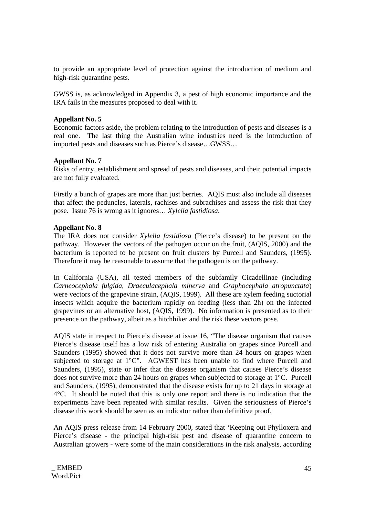to provide an appropriate level of protection against the introduction of medium and high-risk quarantine pests.

GWSS is, as acknowledged in Appendix 3, a pest of high economic importance and the IRA fails in the measures proposed to deal with it.

## **Appellant No. 5**

Economic factors aside, the problem relating to the introduction of pests and diseases is a real one. The last thing the Australian wine industries need is the introduction of imported pests and diseases such as Pierce's disease…GWSS…

# **Appellant No. 7**

Risks of entry, establishment and spread of pests and diseases, and their potential impacts are not fully evaluated.

Firstly a bunch of grapes are more than just berries. AQIS must also include all diseases that affect the peduncles, laterals, rachises and subrachises and assess the risk that they pose. Issue 76 is wrong as it ignores… *Xylella fastidiosa*.

## **Appellant No. 8**

The IRA does not consider *Xylella fastidiosa* (Pierce's disease) to be present on the pathway. However the vectors of the pathogen occur on the fruit, (AQIS, 2000) and the bacterium is reported to be present on fruit clusters by Purcell and Saunders, (1995). Therefore it may be reasonable to assume that the pathogen is on the pathway.

In California (USA), all tested members of the subfamily Cicadellinae (including *Carneocephala fulgida*, *Draeculacephala minerva* and *Graphocephala atropunctata*) were vectors of the grapevine strain, (AQIS, 1999). All these are xylem feeding suctorial insects which acquire the bacterium rapidly on feeding (less than 2h) on the infected grapevines or an alternative host, (AQIS, 1999). No information is presented as to their presence on the pathway, albeit as a hitchhiker and the risk these vectors pose.

AQIS state in respect to Pierce's disease at issue 16, "The disease organism that causes Pierce's disease itself has a low risk of entering Australia on grapes since Purcell and Saunders (1995) showed that it does not survive more than 24 hours on grapes when subjected to storage at 1°C". AGWEST has been unable to find where Purcell and Saunders, (1995), state or infer that the disease organism that causes Pierce's disease does not survive more than 24 hours on grapes when subjected to storage at 1°C. Purcell and Saunders, (1995), demonstrated that the disease exists for up to 21 days in storage at 4°C. It should be noted that this is only one report and there is no indication that the experiments have been repeated with similar results. Given the seriousness of Pierce's disease this work should be seen as an indicator rather than definitive proof.

An AQIS press release from 14 February 2000, stated that 'Keeping out Phylloxera and Pierce's disease - the principal high-risk pest and disease of quarantine concern to Australian growers - were some of the main considerations in the risk analysis, according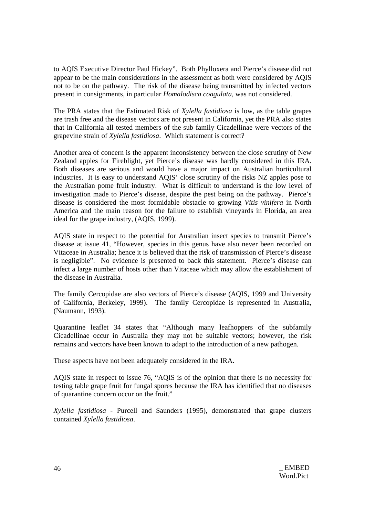to AQIS Executive Director Paul Hickey". Both Phylloxera and Pierce's disease did not appear to be the main considerations in the assessment as both were considered by AQIS not to be on the pathway. The risk of the disease being transmitted by infected vectors present in consignments, in particular *Homalodisca coagulata*, was not considered.

The PRA states that the Estimated Risk of *Xylella fastidiosa* is low, as the table grapes are trash free and the disease vectors are not present in California, yet the PRA also states that in California all tested members of the sub family Cicadellinae were vectors of the grapevine strain of *Xylella fastidiosa*. Which statement is correct?

Another area of concern is the apparent inconsistency between the close scrutiny of New Zealand apples for Fireblight, yet Pierce's disease was hardly considered in this IRA. Both diseases are serious and would have a major impact on Australian horticultural industries. It is easy to understand AQIS' close scrutiny of the risks NZ apples pose to the Australian pome fruit industry. What is difficult to understand is the low level of investigation made to Pierce's disease, despite the pest being on the pathway. Pierce's disease is considered the most formidable obstacle to growing *Vitis vinifera* in North America and the main reason for the failure to establish vineyards in Florida, an area ideal for the grape industry, (AQIS, 1999).

AQIS state in respect to the potential for Australian insect species to transmit Pierce's disease at issue 41, "However, species in this genus have also never been recorded on Vitaceae in Australia; hence it is believed that the risk of transmission of Pierce's disease is negligible". No evidence is presented to back this statement. Pierce's disease can infect a large number of hosts other than Vitaceae which may allow the establishment of the disease in Australia.

The family Cercopidae are also vectors of Pierce's disease (AQIS, 1999 and University of California, Berkeley, 1999). The family Cercopidae is represented in Australia, (Naumann, 1993).

Quarantine leaflet 34 states that "Although many leafhoppers of the subfamily Cicadellinae occur in Australia they may not be suitable vectors; however, the risk remains and vectors have been known to adapt to the introduction of a new pathogen.

These aspects have not been adequately considered in the IRA.

AQIS state in respect to issue 76, "AQIS is of the opinion that there is no necessity for testing table grape fruit for fungal spores because the IRA has identified that no diseases of quarantine concern occur on the fruit."

*Xylella fastidiosa* - Purcell and Saunders (1995), demonstrated that grape clusters contained *Xylella fastidiosa*.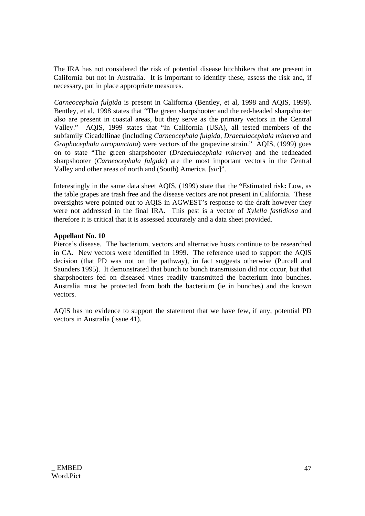The IRA has not considered the risk of potential disease hitchhikers that are present in California but not in Australia. It is important to identify these, assess the risk and, if necessary, put in place appropriate measures.

*Carneocephala fulgida* is present in California (Bentley, et al, 1998 and AQIS, 1999). Bentley, et al, 1998 states that "The green sharpshooter and the red-headed sharpshooter also are present in coastal areas, but they serve as the primary vectors in the Central Valley." AQIS, 1999 states that "In California (USA), all tested members of the subfamily Cicadellinae (including *Carneocephala fulgida*, *Draeculacephala minerva* and *Graphocephala atropunctata*) were vectors of the grapevine strain." AQIS, (1999) goes on to state "The green sharpshooter (*Draeculacephala minerva*) and the redheaded sharpshooter (*Carneocephala fulgida*) are the most important vectors in the Central Valley and other areas of north and (South) America. [*sic*]".

Interestingly in the same data sheet AQIS, (1999) state that the **"**Estimated risk**:** Low, as the table grapes are trash free and the disease vectors are not present in California. These oversights were pointed out to AQIS in AGWEST's response to the draft however they were not addressed in the final IRA. This pest is a vector of *Xylella fastidiosa* and therefore it is critical that it is assessed accurately and a data sheet provided.

## **Appellant No. 10**

Pierce's disease. The bacterium, vectors and alternative hosts continue to be researched in CA. New vectors were identified in 1999. The reference used to support the AQIS decision (that PD was not on the pathway), in fact suggests otherwise (Purcell and Saunders 1995). It demonstrated that bunch to bunch transmission did not occur, but that sharpshooters fed on diseased vines readily transmitted the bacterium into bunches. Australia must be protected from both the bacterium (ie in bunches) and the known vectors.

AQIS has no evidence to support the statement that we have few, if any, potential PD vectors in Australia (issue 41).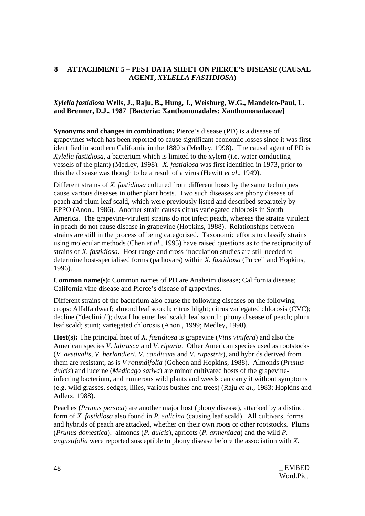# **8 ATTACHMENT 5 – PEST DATA SHEET ON PIERCE'S DISEASE (CAUSAL AGENT,** *XYLELLA FASTIDIOSA***)**

# *Xylella fastidiosa* **Wells, J., Raju, B., Hung, J., Weisburg, W.G., Mandelco-Paul, L. and Brenner, D.J., 1987 [Bacteria: Xanthomonadales: Xanthomonadaceae]**

**Synonyms and changes in combination:** Pierce's disease (PD) is a disease of grapevines which has been reported to cause significant economic losses since it was first identified in southern California in the 1880's (Medley, 1998). The causal agent of PD is *Xylella fastidiosa*, a bacterium which is limited to the xylem (i.e. water conducting vessels of the plant) (Medley, 1998). *X. fastidiosa* was first identified in 1973, prior to this the disease was though to be a result of a virus (Hewitt *et al*., 1949).

Different strains of *X. fastidiosa* cultured from different hosts by the same techniques cause various diseases in other plant hosts. Two such diseases are phony disease of peach and plum leaf scald, which were previously listed and described separately by EPPO (Anon., 1986). Another strain causes citrus variegated chlorosis in South America. The grapevine-virulent strains do not infect peach, whereas the strains virulent in peach do not cause disease in grapevine (Hopkins, 1988). Relationships between strains are still in the process of being categorised. Taxonomic efforts to classify strains using molecular methods (Chen *et al*., 1995) have raised questions as to the reciprocity of strains of *X. fastidiosa*. Host-range and cross-inoculation studies are still needed to determine host-specialised forms (pathovars) within *X. fastidiosa* (Purcell and Hopkins, 1996).

**Common name(s):** Common names of PD are Anaheim disease; California disease; California vine disease and Pierce's disease of grapevines.

Different strains of the bacterium also cause the following diseases on the following crops: Alfalfa dwarf; almond leaf scorch; citrus blight; citrus variegated chlorosis (CVC); decline ("declinio"); dwarf lucerne; leaf scald; leaf scorch; phony disease of peach; plum leaf scald; stunt; variegated chlorosis (Anon., 1999; Medley, 1998).

**Host(s):** The principal host of *X. fastidiosa* is grapevine (*Vitis vinifera*) and also the American species *V. labrusca* and *V. riparia*. Other American species used as rootstocks (*V. aestivalis*, *V. berlandieri*, *V. candicans* and *V. rupestris*), and hybrids derived from them are resistant, as is *V rotundifolia* (Goheen and Hopkins, 1988). Almonds (*Prunus dulcis*) and lucerne (*Medicago sativa*) are minor cultivated hosts of the grapevineinfecting bacterium, and numerous wild plants and weeds can carry it without symptoms (e.g. wild grasses, sedges, lilies, various bushes and trees) (Raju *et al*., 1983; Hopkins and Adlerz, 1988).

Peaches (*Prunus persica*) are another major host (phony disease), attacked by a distinct form of *X. fastidiosa* also found in *P. salicina* (causing leaf scald). All cultivars, forms and hybrids of peach are attacked, whether on their own roots or other rootstocks. Plums (*Prunus domestica*), almonds (*P. dulcis*), apricots (*P. armeniaca*) and the wild *P. angustifolia* were reported susceptible to phony disease before the association with *X.*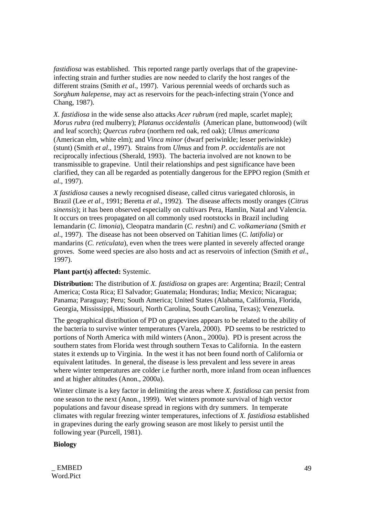*fastidiosa* was established. This reported range partly overlaps that of the grapevineinfecting strain and further studies are now needed to clarify the host ranges of the different strains (Smith *et al*., 1997). Various perennial weeds of orchards such as *Sorghum halepense*, may act as reservoirs for the peach-infecting strain (Yonce and Chang, 1987).

*X. fastidiosa* in the wide sense also attacks *Acer rubrum* (red maple, scarlet maple); *Morus rubra* (red mulberry); *Platanus occidentalis* (American plane, buttonwood) (wilt and leaf scorch); *Quercus rubra* (northern red oak, red oak); *Ulmus americana* (American elm, white elm); and *Vinca minor* (dwarf periwinkle; lesser periwinkle) (stunt) (Smith *et al*., 1997). Strains from *Ulmus* and from *P. occidentalis* are not reciprocally infectious (Sherald, 1993). The bacteria involved are not known to be transmissible to grapevine. Until their relationships and pest significance have been clarified, they can all be regarded as potentially dangerous for the EPPO region (Smith *et al*., 1997).

*X fastidiosa* causes a newly recognised disease, called citrus variegated chlorosis, in Brazil (Lee *et al*., 1991; Beretta *et al*., 1992). The disease affects mostly oranges (*Citrus sinensis*); it has been observed especially on cultivars Pera, Hamlin, Natal and Valencia. It occurs on trees propagated on all commonly used rootstocks in Brazil including lemandarin (*C. limonia*), Cleopatra mandarin (*C. reshni*) and *C. volkameriana* (Smith *et al*., 1997). The disease has not been observed on Tahitian limes (*C. latifolia*) or mandarins (*C. reticulata*), even when the trees were planted in severely affected orange groves. Some weed species are also hosts and act as reservoirs of infection (Smith *et al*., 1997).

## **Plant part(s) affected:** Systemic.

**Distribution:** The distribution of *X. fastidiosa* on grapes are: Argentina; Brazil; Central America; Costa Rica; El Salvador; Guatemala; Honduras; India; Mexico; Nicaragua; Panama; Paraguay; Peru; South America; United States (Alabama, California, Florida, Georgia, Mississippi, Missouri, North Carolina, South Carolina, Texas); Venezuela.

The geographical distribution of PD on grapevines appears to be related to the ability of the bacteria to survive winter temperatures (Varela, 2000). PD seems to be restricted to portions of North America with mild winters (Anon., 2000a). PD is present across the southern states from Florida west through southern Texas to California. In the eastern states it extends up to Virginia. In the west it has not been found north of California or equivalent latitudes. In general, the disease is less prevalent and less severe in areas where winter temperatures are colder i.e further north, more inland from ocean influences and at higher altitudes (Anon., 2000a).

Winter climate is a key factor in delimiting the areas where *X. fastidiosa* can persist from one season to the next (Anon., 1999). Wet winters promote survival of high vector populations and favour disease spread in regions with dry summers. In temperate climates with regular freezing winter temperatures, infections of *X. fastidiosa* established in grapevines during the early growing season are most likely to persist until the following year (Purcell, 1981).

#### **Biology**

\_ EMBED 49 Word.Pict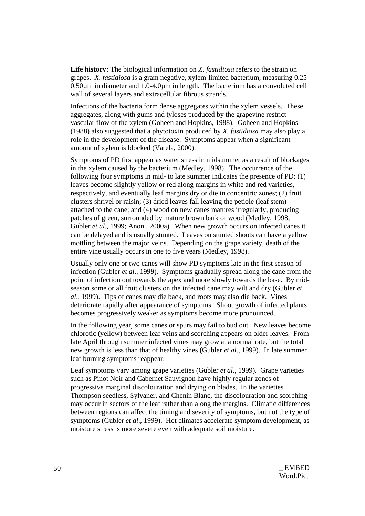**Life history:** The biological information on *X. fastidiosa* refers to the strain on grapes. *X. fastidiosa* is a gram negative, xylem-limited bacterium, measuring 0.25- 0.50µm in diameter and 1.0-4.0µm in length. The bacterium has a convoluted cell wall of several layers and extracellular fibrous strands.

Infections of the bacteria form dense aggregates within the xylem vessels. These aggregates, along with gums and tyloses produced by the grapevine restrict vascular flow of the xylem (Goheen and Hopkins, 1988). Goheen and Hopkins (1988) also suggested that a phytotoxin produced by *X. fastidiosa* may also play a role in the development of the disease. Symptoms appear when a significant amount of xylem is blocked (Varela, 2000).

Symptoms of PD first appear as water stress in midsummer as a result of blockages in the xylem caused by the bacterium (Medley, 1998). The occurrence of the following four symptoms in mid- to late summer indicates the presence of PD: (1) leaves become slightly yellow or red along margins in white and red varieties, respectively, and eventually leaf margins dry or die in concentric zones; (2) fruit clusters shrivel or raisin; (3) dried leaves fall leaving the petiole (leaf stem) attached to the cane; and (4) wood on new canes matures irregularly, producing patches of green, surrounded by mature brown bark or wood (Medley, 1998; Gubler *et al*., 1999; Anon., 2000a). When new growth occurs on infected canes it can be delayed and is usually stunted. Leaves on stunted shoots can have a yellow mottling between the major veins. Depending on the grape variety, death of the entire vine usually occurs in one to five years (Medley, 1998).

Usually only one or two canes will show PD symptoms late in the first season of infection (Gubler *et al*., 1999). Symptoms gradually spread along the cane from the point of infection out towards the apex and more slowly towards the base. By midseason some or all fruit clusters on the infected cane may wilt and dry (Gubler *et al*., 1999). Tips of canes may die back, and roots may also die back. Vines deteriorate rapidly after appearance of symptoms. Shoot growth of infected plants becomes progressively weaker as symptoms become more pronounced.

In the following year, some canes or spurs may fail to bud out. New leaves become chlorotic (yellow) between leaf veins and scorching appears on older leaves. From late April through summer infected vines may grow at a normal rate, but the total new growth is less than that of healthy vines (Gubler *et al*., 1999). In late summer leaf burning symptoms reappear.

Leaf symptoms vary among grape varieties (Gubler *et al*., 1999). Grape varieties such as Pinot Noir and Cabernet Sauvignon have highly regular zones of progressive marginal discolouration and drying on blades. In the varieties Thompson seedless, Sylvaner, and Chenin Blanc, the discolouration and scorching may occur in sectors of the leaf rather than along the margins. Climatic differences between regions can affect the timing and severity of symptoms, but not the type of symptoms (Gubler *et al*., 1999). Hot climates accelerate symptom development, as moisture stress is more severe even with adequate soil moisture.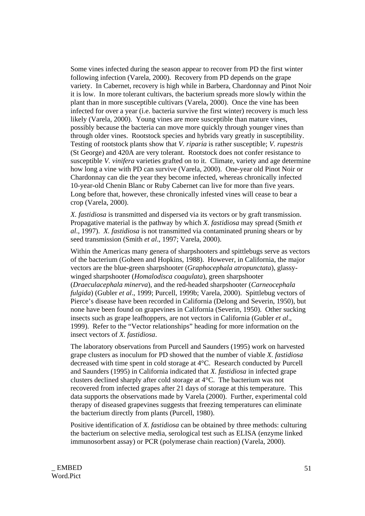Some vines infected during the season appear to recover from PD the first winter following infection (Varela, 2000). Recovery from PD depends on the grape variety. In Cabernet, recovery is high while in Barbera, Chardonnay and Pinot Noir it is low. In more tolerant cultivars, the bacterium spreads more slowly within the plant than in more susceptible cultivars (Varela, 2000). Once the vine has been infected for over a year (i.e. bacteria survive the first winter) recovery is much less likely (Varela, 2000). Young vines are more susceptible than mature vines, possibly because the bacteria can move more quickly through younger vines than through older vines. Rootstock species and hybrids vary greatly in susceptibility. Testing of rootstock plants show that *V. riparia* is rather susceptible; *V. rupestris* (St George) and 420A are very tolerant. Rootstock does not confer resistance to susceptible *V. vinifera* varieties grafted on to it. Climate, variety and age determine how long a vine with PD can survive (Varela, 2000). One-year old Pinot Noir or Chardonnay can die the year they become infected, whereas chronically infected 10-year-old Chenin Blanc or Ruby Cabernet can live for more than five years. Long before that, however, these chronically infested vines will cease to bear a crop (Varela, 2000).

*X. fastidiosa* is transmitted and dispersed via its vectors or by graft transmission. Propagative material is the pathway by which *X. fastidiosa* may spread (Smith *et al*., 1997). *X. fastidiosa* is not transmitted via contaminated pruning shears or by seed transmission (Smith *et al*., 1997; Varela, 2000).

Within the Americas many genera of sharpshooters and spittlebugs serve as vectors of the bacterium (Goheen and Hopkins, 1988). However, in California, the major vectors are the blue-green sharpshooter (*Graphocephala atropunctata*), glassywinged sharpshooter (*Homalodisca coagulata*), green sharpshooter (*Draeculacephala minerva*), and the red-headed sharpshooter (*Carneocephala fulgida*) (Gubler *et al*., 1999; Purcell, 1999b; Varela, 2000). Spittlebug vectors of Pierce's disease have been recorded in California (Delong and Severin, 1950), but none have been found on grapevines in California (Severin, 1950). Other sucking insects such as grape leafhoppers, are not vectors in California (Gubler *et al*., 1999). Refer to the "Vector relationships" heading for more information on the insect vectors of *X. fastidiosa*.

The laboratory observations from Purcell and Saunders (1995) work on harvested grape clusters as inoculum for PD showed that the number of viable *X. fastidiosa* decreased with time spent in cold storage at 4°C. Research conducted by Purcell and Saunders (1995) in California indicated that *X. fastidiosa* in infected grape clusters declined sharply after cold storage at 4°C. The bacterium was not recovered from infected grapes after 21 days of storage at this temperature. This data supports the observations made by Varela (2000). Further, experimental cold therapy of diseased grapevines suggests that freezing temperatures can eliminate the bacterium directly from plants (Purcell, 1980).

Positive identification of *X. fastidiosa* can be obtained by three methods: culturing the bacterium on selective media, serological test such as ELISA (enzyme linked immunosorbent assay) or PCR (polymerase chain reaction) (Varela, 2000).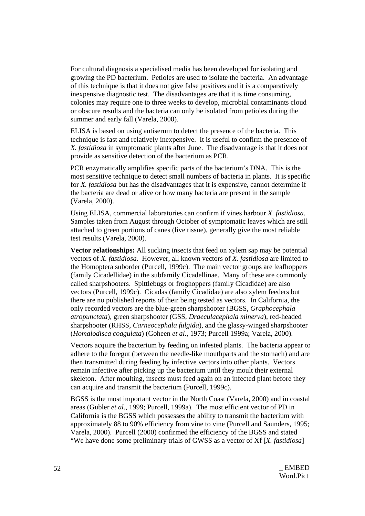For cultural diagnosis a specialised media has been developed for isolating and growing the PD bacterium. Petioles are used to isolate the bacteria. An advantage of this technique is that it does not give false positives and it is a comparatively inexpensive diagnostic test. The disadvantages are that it is time consuming, colonies may require one to three weeks to develop, microbial contaminants cloud or obscure results and the bacteria can only be isolated from petioles during the summer and early fall (Varela, 2000).

ELISA is based on using antiserum to detect the presence of the bacteria. This technique is fast and relatively inexpensive. It is useful to confirm the presence of *X. fastidiosa* in symptomatic plants after June. The disadvantage is that it does not provide as sensitive detection of the bacterium as PCR.

PCR enzymatically amplifies specific parts of the bacterium's DNA. This is the most sensitive technique to detect small numbers of bacteria in plants. It is specific for *X. fastidiosa* but has the disadvantages that it is expensive, cannot determine if the bacteria are dead or alive or how many bacteria are present in the sample (Varela, 2000).

Using ELISA, commercial laboratories can confirm if vines harbour *X. fastidiosa*. Samples taken from August through October of symptomatic leaves which are still attached to green portions of canes (live tissue), generally give the most reliable test results (Varela, 2000).

**Vector relationships:** All sucking insects that feed on xylem sap may be potential vectors of *X. fastidiosa*. However, all known vectors of *X. fastidiosa* are limited to the Homoptera suborder (Purcell, 1999c). The main vector groups are leafhoppers (family Cicadellidae) in the subfamily Cicadellinae. Many of these are commonly called sharpshooters. Spittlebugs or froghoppers (family Cicadidae) are also vectors (Purcell, 1999c). Cicadas (family Cicadidae) are also xylem feeders but there are no published reports of their being tested as vectors. In California, the only recorded vectors are the blue-green sharpshooter (BGSS, *Graphocephala atropunctata*), green sharpshooter (GSS, *Draeculacephala minerva*), red-headed sharpshooter (RHSS, *Carneocephala fulgida*), and the glassy-winged sharpshooter (*Homalodisca coagulata*) (Goheen *et al*., 1973; Purcell 1999a; Varela, 2000).

Vectors acquire the bacterium by feeding on infested plants. The bacteria appear to adhere to the foregut (between the needle-like mouthparts and the stomach) and are then transmitted during feeding by infective vectors into other plants. Vectors remain infective after picking up the bacterium until they moult their external skeleton. After moulting, insects must feed again on an infected plant before they can acquire and transmit the bacterium (Purcell, 1999c).

BGSS is the most important vector in the North Coast (Varela, 2000) and in coastal areas (Gubler *et al*., 1999; Purcell, 1999a). The most efficient vector of PD in California is the BGSS which possesses the ability to transmit the bacterium with approximately 88 to 90% efficiency from vine to vine (Purcell and Saunders, 1995; Varela, 2000). Purcell (2000) confirmed the efficiency of the BGSS and stated "We have done some preliminary trials of GWSS as a vector of Xf [*X. fastidiosa*]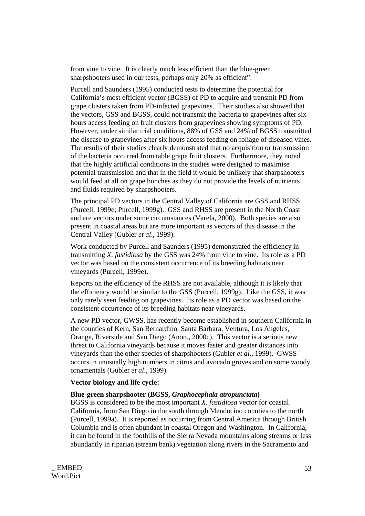from vine to vine. It is clearly much less efficient than the blue-green sharpshooters used in our tests, perhaps only 20% as efficient".

Purcell and Saunders (1995) conducted tests to determine the potential for California's most efficient vector (BGSS) of PD to acquire and transmit PD from grape clusters taken from PD-infected grapevines. Their studies also showed that the vectors, GSS and BGSS, could not transmit the bacteria to grapevines after six hours access feeding on fruit clusters from grapevines showing symptoms of PD. However, under similar trial conditions, 88% of GSS and 24% of BGSS transmitted the disease to grapevines after six hours access feeding on foliage of diseased vines. The results of their studies clearly demonstrated that no acquisition or transmission of the bacteria occurred from table grape fruit clusters. Furthermore, they noted that the highly artificial conditions in the studies were designed to maximise potential transmission and that in the field it would be unlikely that sharpshooters would feed at all on grape bunches as they do not provide the levels of nutrients and fluids required by sharpshooters.

The principal PD vectors in the Central Valley of California are GSS and RHSS (Purcell, 1999e; Purcell, 1999g). GSS and RHSS are present in the North Coast and are vectors under some circumstances (Varela, 2000). Both species are also present in coastal areas but are more important as vectors of this disease in the Central Valley (Gubler *et al*., 1999).

Work conducted by Purcell and Saunders (1995) demonstrated the efficiency in transmitting *X. fastidiosa* by the GSS was 24% from vine to vine. Its role as a PD vector was based on the consistent occurrence of its breeding habitats near vineyards (Purcell, 1999e).

Reports on the efficiency of the RHSS are not available, although it is likely that the efficiency would be similar to the GSS (Purcell, 1999g). Like the GSS, it was only rarely seen feeding on grapevines. Its role as a PD vector was based on the consistent occurrence of its breeding habitats near vineyards.

A new PD vector, GWSS, has recently become established in southern California in the counties of Kern, San Bernardino, Santa Barbara, Ventura, Los Angeles, Orange, Riverside and San Diego (Anon., 2000c). This vector is a serious new threat to California vineyards because it moves faster and greater distances into vineyards than the other species of sharpshooters (Gubler *et al*., 1999). GWSS occurs in unusually high numbers in citrus and avocado groves and on some woody ornamentals (Gubler *et al*., 1999).

#### **Vector biology and life cycle:**

#### **Blue-green sharpshooter (BGSS,** *Graphocephala atropunctata***)**

BGSS is considered to be the most important *X. fastidiosa* vector for coastal California, from San Diego in the south through Mendocino counties to the north (Purcell, 1999a). It is reported as occurring from Central America through British Columbia and is often abundant in coastal Oregon and Washington. In California, it can be found in the foothills of the Sierra Nevada mountains along streams or less abundantly in riparian (stream bank) vegetation along rivers in the Sacramento and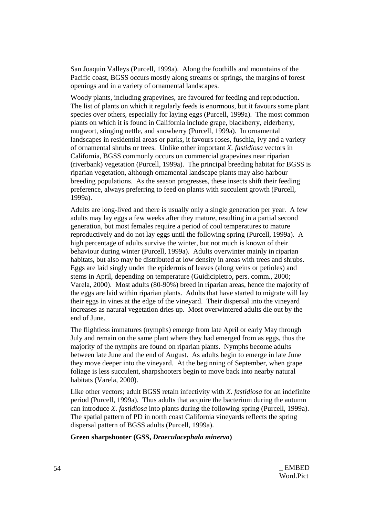San Joaquin Valleys (Purcell, 1999a). Along the foothills and mountains of the Pacific coast, BGSS occurs mostly along streams or springs, the margins of forest openings and in a variety of ornamental landscapes.

Woody plants, including grapevines, are favoured for feeding and reproduction. The list of plants on which it regularly feeds is enormous, but it favours some plant species over others, especially for laying eggs (Purcell, 1999a). The most common plants on which it is found in California include grape, blackberry, elderberry, mugwort, stinging nettle, and snowberry (Purcell, 1999a). In ornamental landscapes in residential areas or parks, it favours roses, fuschia, ivy and a variety of ornamental shrubs or trees. Unlike other important *X. fastidiosa* vectors in California, BGSS commonly occurs on commercial grapevines near riparian (riverbank) vegetation (Purcell, 1999a). The principal breeding habitat for BGSS is riparian vegetation, although ornamental landscape plants may also harbour breeding populations. As the season progresses, these insects shift their feeding preference, always preferring to feed on plants with succulent growth (Purcell, 1999a).

Adults are long-lived and there is usually only a single generation per year. A few adults may lay eggs a few weeks after they mature, resulting in a partial second generation, but most females require a period of cool temperatures to mature reproductively and do not lay eggs until the following spring (Purcell, 1999a). A high percentage of adults survive the winter, but not much is known of their behaviour during winter (Purcell, 1999a). Adults overwinter mainly in riparian habitats, but also may be distributed at low density in areas with trees and shrubs. Eggs are laid singly under the epidermis of leaves (along veins or petioles) and stems in April, depending on temperature (Guidicipietro, pers. comm., 2000; Varela, 2000). Most adults (80-90%) breed in riparian areas, hence the majority of the eggs are laid within riparian plants. Adults that have started to migrate will lay their eggs in vines at the edge of the vineyard. Their dispersal into the vineyard increases as natural vegetation dries up. Most overwintered adults die out by the end of June.

The flightless immatures (nymphs) emerge from late April or early May through July and remain on the same plant where they had emerged from as eggs, thus the majority of the nymphs are found on riparian plants. Nymphs become adults between late June and the end of August. As adults begin to emerge in late June they move deeper into the vineyard. At the beginning of September, when grape foliage is less succulent, sharpshooters begin to move back into nearby natural habitats (Varela, 2000).

Like other vectors; adult BGSS retain infectivity with *X. fastidiosa* for an indefinite period (Purcell, 1999a). Thus adults that acquire the bacterium during the autumn can introduce *X. fastidiosa* into plants during the following spring (Purcell, 1999a). The spatial pattern of PD in north coast California vineyards reflects the spring dispersal pattern of BGSS adults (Purcell, 1999a).

#### **Green sharpshooter (GSS,** *Draeculacephala minerva***)**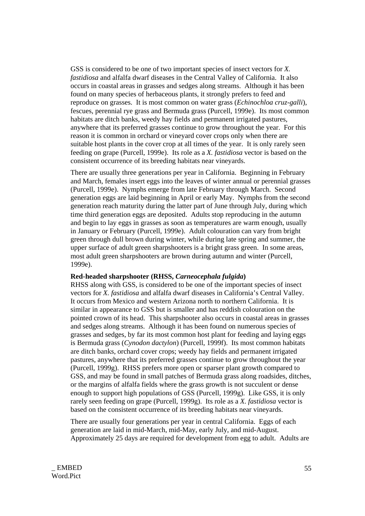GSS is considered to be one of two important species of insect vectors for *X. fastidiosa* and alfalfa dwarf diseases in the Central Valley of California. It also occurs in coastal areas in grasses and sedges along streams. Although it has been found on many species of herbaceous plants, it strongly prefers to feed and reproduce on grasses. It is most common on water grass (*Echinochloa cruz-galli*), fescues, perennial rye grass and Bermuda grass (Purcell, 1999e). Its most common habitats are ditch banks, weedy hay fields and permanent irrigated pastures, anywhere that its preferred grasses continue to grow throughout the year. For this reason it is common in orchard or vineyard cover crops only when there are suitable host plants in the cover crop at all times of the year. It is only rarely seen feeding on grape (Purcell, 1999e). Its role as a *X. fastidiosa* vector is based on the consistent occurrence of its breeding habitats near vineyards.

There are usually three generations per year in California. Beginning in February and March, females insert eggs into the leaves of winter annual or perennial grasses (Purcell, 1999e). Nymphs emerge from late February through March. Second generation eggs are laid beginning in April or early May. Nymphs from the second generation reach maturity during the latter part of June through July, during which time third generation eggs are deposited. Adults stop reproducing in the autumn and begin to lay eggs in grasses as soon as temperatures are warm enough, usually in January or February (Purcell, 1999e). Adult colouration can vary from bright green through dull brown during winter, while during late spring and summer, the upper surface of adult green sharpshooters is a bright grass green. In some areas, most adult green sharpshooters are brown during autumn and winter (Purcell, 1999e).

#### **Red-headed sharpshooter (RHSS,** *Carneocephala fulgida***)**

RHSS along with GSS, is considered to be one of the important species of insect vectors for *X. fastidiosa* and alfalfa dwarf diseases in California's Central Valley. It occurs from Mexico and western Arizona north to northern California. It is similar in appearance to GSS but is smaller and has reddish colouration on the pointed crown of its head. This sharpshooter also occurs in coastal areas in grasses and sedges along streams. Although it has been found on numerous species of grasses and sedges, by far its most common host plant for feeding and laying eggs is Bermuda grass (*Cynodon dactylon*) (Purcell, 1999f). Its most common habitats are ditch banks, orchard cover crops; weedy hay fields and permanent irrigated pastures, anywhere that its preferred grasses continue to grow throughout the year (Purcell, 1999g). RHSS prefers more open or sparser plant growth compared to GSS, and may be found in small patches of Bermuda grass along roadsides, ditches, or the margins of alfalfa fields where the grass growth is not succulent or dense enough to support high populations of GSS (Purcell, 1999g). Like GSS, it is only rarely seen feeding on grape (Purcell, 1999g). Its role as a *X. fastidiosa* vector is based on the consistent occurrence of its breeding habitats near vineyards.

There are usually four generations per year in central California. Eggs of each generation are laid in mid-March, mid-May, early July, and mid-August. Approximately 25 days are required for development from egg to adult. Adults are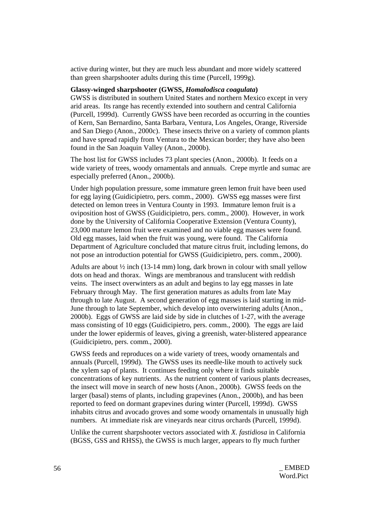active during winter, but they are much less abundant and more widely scattered than green sharpshooter adults during this time (Purcell, 1999g).

#### **Glassy-winged sharpshooter (GWSS,** *Homalodisca coagulata***)**

GWSS is distributed in southern United States and northern Mexico except in very arid areas. Its range has recently extended into southern and central California (Purcell, 1999d). Currently GWSS have been recorded as occurring in the counties of Kern, San Bernardino, Santa Barbara, Ventura, Los Angeles, Orange, Riverside and San Diego (Anon., 2000c). These insects thrive on a variety of common plants and have spread rapidly from Ventura to the Mexican border; they have also been found in the San Joaquin Valley (Anon., 2000b).

The host list for GWSS includes 73 plant species (Anon., 2000b). It feeds on a wide variety of trees, woody ornamentals and annuals. Crepe myrtle and sumac are especially preferred (Anon., 2000b).

Under high population pressure, some immature green lemon fruit have been used for egg laying (Guidicipietro, pers. comm., 2000). GWSS egg masses were first detected on lemon trees in Ventura County in 1993. Immature lemon fruit is a oviposition host of GWSS (Guidicipietro, pers. comm., 2000). However, in work done by the University of California Cooperative Extension (Ventura County), 23,000 mature lemon fruit were examined and no viable egg masses were found. Old egg masses, laid when the fruit was young, were found. The California Department of Agriculture concluded that mature citrus fruit, including lemons, do not pose an introduction potential for GWSS (Guidicipietro, pers. comm., 2000).

Adults are about  $\frac{1}{2}$  inch (13-14 mm) long, dark brown in colour with small yellow dots on head and thorax. Wings are membranous and translucent with reddish veins. The insect overwinters as an adult and begins to lay egg masses in late February through May. The first generation matures as adults from late May through to late August. A second generation of egg masses is laid starting in mid-June through to late September, which develop into overwintering adults (Anon., 2000b). Eggs of GWSS are laid side by side in clutches of 1-27, with the average mass consisting of 10 eggs (Guidicipietro, pers. comm., 2000). The eggs are laid under the lower epidermis of leaves, giving a greenish, water-blistered appearance (Guidicipietro, pers. comm., 2000).

GWSS feeds and reproduces on a wide variety of trees, woody ornamentals and annuals (Purcell, 1999d). The GWSS uses its needle-like mouth to actively suck the xylem sap of plants. It continues feeding only where it finds suitable concentrations of key nutrients. As the nutrient content of various plants decreases, the insect will move in search of new hosts (Anon., 2000b). GWSS feeds on the larger (basal) stems of plants, including grapevines (Anon., 2000b), and has been reported to feed on dormant grapevines during winter (Purcell, 1999d). GWSS inhabits citrus and avocado groves and some woody ornamentals in unusually high numbers. At immediate risk are vineyards near citrus orchards (Purcell, 1999d).

Unlike the current sharpshooter vectors associated with *X. fastidiosa* in California (BGSS, GSS and RHSS), the GWSS is much larger, appears to fly much further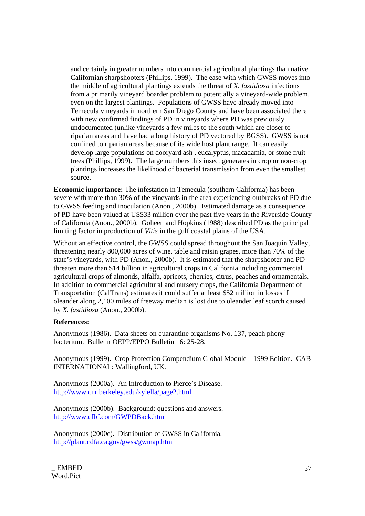and certainly in greater numbers into commercial agricultural plantings than native Californian sharpshooters (Phillips, 1999). The ease with which GWSS moves into the middle of agricultural plantings extends the threat of *X. fastidiosa* infections from a primarily vineyard boarder problem to potentially a vineyard-wide problem, even on the largest plantings. Populations of GWSS have already moved into Temecula vineyards in northern San Diego County and have been associated there with new confirmed findings of PD in vineyards where PD was previously undocumented (unlike vineyards a few miles to the south which are closer to riparian areas and have had a long history of PD vectored by BGSS). GWSS is not confined to riparian areas because of its wide host plant range. It can easily develop large populations on dooryard ash , eucalyptus, macadamia, or stone fruit trees (Phillips, 1999). The large numbers this insect generates in crop or non-crop plantings increases the likelihood of bacterial transmission from even the smallest source.

**Economic importance:** The infestation in Temecula (southern California) has been severe with more than 30% of the vineyards in the area experiencing outbreaks of PD due to GWSS feeding and inoculation (Anon., 2000b). Estimated damage as a consequence of PD have been valued at US\$33 million over the past five years in the Riverside County of California (Anon., 2000b). Goheen and Hopkins (1988) described PD as the principal limiting factor in production of *Vitis* in the gulf coastal plains of the USA.

Without an effective control, the GWSS could spread throughout the San Joaquin Valley, threatening nearly 800,000 acres of wine, table and raisin grapes, more than 70% of the state's vineyards, with PD (Anon., 2000b). It is estimated that the sharpshooter and PD threaten more than \$14 billion in agricultural crops in California including commercial agricultural crops of almonds, alfalfa, apricots, cherries, citrus, peaches and ornamentals. In addition to commercial agricultural and nursery crops, the California Department of Transportation (CalTrans) estimates it could suffer at least \$52 million in losses if oleander along 2,100 miles of freeway median is lost due to oleander leaf scorch caused by *X. fastidiosa* (Anon., 2000b).

#### **References:**

Anonymous (1986). Data sheets on quarantine organisms No. 137, peach phony bacterium. Bulletin OEPP/EPPO Bulletin 16: 25-28.

Anonymous (1999). Crop Protection Compendium Global Module – 1999 Edition. CAB INTERNATIONAL: Wallingford, UK.

Anonymous (2000a). An Introduction to Pierce's Disease. http://www.cnr.berkeley.edu/xylella/page2.html

Anonymous (2000b). Background: questions and answers. http://www.cfbf.com/GWPDBack.htm

Anonymous (2000c). Distribution of GWSS in California. http://plant.cdfa.ca.gov/gwss/gwmap.htm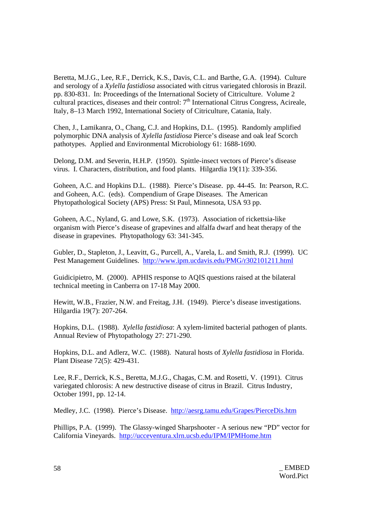Beretta, M.J.G., Lee, R.F., Derrick, K.S., Davis, C.L. and Barthe, G.A. (1994). Culture and serology of a *Xylella fastidiosa* associated with citrus variegated chlorosis in Brazil. pp. 830-831. In: Proceedings of the International Society of Citriculture. Volume 2 cultural practices, diseases and their control: 7<sup>th</sup> International Citrus Congress, Acireale, Italy, 8–13 March 1992, International Society of Citriculture, Catania, Italy.

Chen, J., Lamikanra, O., Chang, C.J. and Hopkins, D.L. (1995). Randomly amplified polymorphic DNA analysis of *Xylella fastidiosa* Pierce's disease and oak leaf Scorch pathotypes. Applied and Environmental Microbiology 61: 1688-1690.

Delong, D.M. and Severin, H.H.P. (1950). Spittle-insect vectors of Pierce's disease virus. I. Characters, distribution, and food plants. Hilgardia 19(11): 339-356.

Goheen, A.C. and Hopkins D.L. (1988). Pierce's Disease. pp. 44-45. In: Pearson, R.C. and Goheen, A.C. (eds). Compendium of Grape Diseases. The American Phytopathological Society (APS) Press: St Paul, Minnesota, USA 93 pp.

Goheen, A.C., Nyland, G. and Lowe, S.K. (1973). Association of rickettsia-like organism with Pierce's disease of grapevines and alfalfa dwarf and heat therapy of the disease in grapevines. Phytopathology 63: 341-345.

Gubler, D., Stapleton, J., Leavitt, G., Purcell, A., Varela, L. and Smith, R.J. (1999). UC Pest Management Guidelines. http://www.ipm.ucdavis.edu/PMG/r302101211.html

Guidicipietro, M. (2000). APHIS response to AQIS questions raised at the bilateral technical meeting in Canberra on 17-18 May 2000.

Hewitt, W.B., Frazier, N.W. and Freitag, J.H. (1949). Pierce's disease investigations. Hilgardia 19(7): 207-264.

Hopkins, D.L. (1988). *Xylella fastidiosa*: A xylem-limited bacterial pathogen of plants. Annual Review of Phytopathology 27: 271-290.

Hopkins, D.L. and Adlerz, W.C. (1988). Natural hosts of *Xylella fastidiosa* in Florida. Plant Disease 72(5): 429-431.

Lee, R.F., Derrick, K.S., Beretta, M.J.G., Chagas, C.M. and Rosetti, V. (1991). Citrus variegated chlorosis: A new destructive disease of citrus in Brazil. Citrus Industry, October 1991, pp. 12-14.

Medley, J.C. (1998). Pierce's Disease. http://aesrg.tamu.edu/Grapes/PierceDis.htm

Phillips, P.A. (1999). The Glassy-winged Sharpshooter - A serious new "PD" vector for California Vineyards. http://ucceventura.xlrn.ucsb.edu/IPM/IPMHome.htm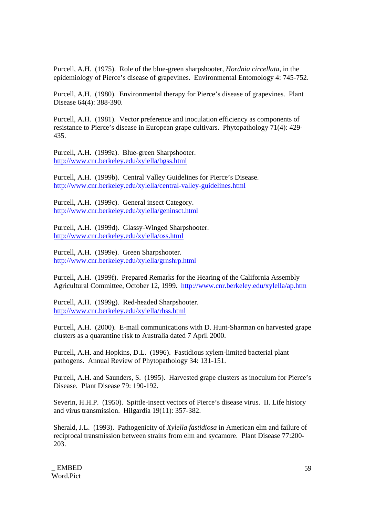Purcell, A.H. (1975). Role of the blue-green sharpshooter, *Hordnia circellata*, in the epidemiology of Pierce's disease of grapevines. Environmental Entomology 4: 745-752.

Purcell, A.H. (1980). Environmental therapy for Pierce's disease of grapevines. Plant Disease 64(4): 388-390.

Purcell, A.H. (1981). Vector preference and inoculation efficiency as components of resistance to Pierce's disease in European grape cultivars. Phytopathology 71(4): 429- 435.

Purcell, A.H. (1999a). Blue-green Sharpshooter. http://www.cnr.berkeley.edu/xylella/bgss.html

Purcell, A.H. (1999b). Central Valley Guidelines for Pierce's Disease. http://www.cnr.berkeley.edu/xylella/central-valley-guidelines.html

Purcell, A.H. (1999c). General insect Category. http://www.cnr.berkeley.edu/xylella/geninsct.html

Purcell, A.H. (1999d). Glassy-Winged Sharpshooter. http://www.cnr.berkeley.edu/xylella/oss.html

Purcell, A.H. (1999e). Green Sharpshooter. http://www.cnr.berkeley.edu/xylella/grnshrp.html

Purcell, A.H. (1999f). Prepared Remarks for the Hearing of the California Assembly Agricultural Committee, October 12, 1999. http://www.cnr.berkeley.edu/xylella/ap.htm

Purcell, A.H. (1999g). Red-headed Sharpshooter. http://www.cnr.berkeley.edu/xylella/rhss.html

Purcell, A.H. (2000). E-mail communications with D. Hunt-Sharman on harvested grape clusters as a quarantine risk to Australia dated 7 April 2000.

Purcell, A.H. and Hopkins, D.L. (1996). Fastidious xylem-limited bacterial plant pathogens. Annual Review of Phytopathology 34: 131-151.

Purcell, A.H. and Saunders, S. (1995). Harvested grape clusters as inoculum for Pierce's Disease. Plant Disease 79: 190-192.

Severin, H.H.P. (1950). Spittle-insect vectors of Pierce's disease virus. II. Life history and virus transmission. Hilgardia 19(11): 357-382.

Sherald, J.L. (1993). Pathogenicity of *Xylella fastidiosa* in American elm and failure of reciprocal transmission between strains from elm and sycamore. Plant Disease 77:200- 203.